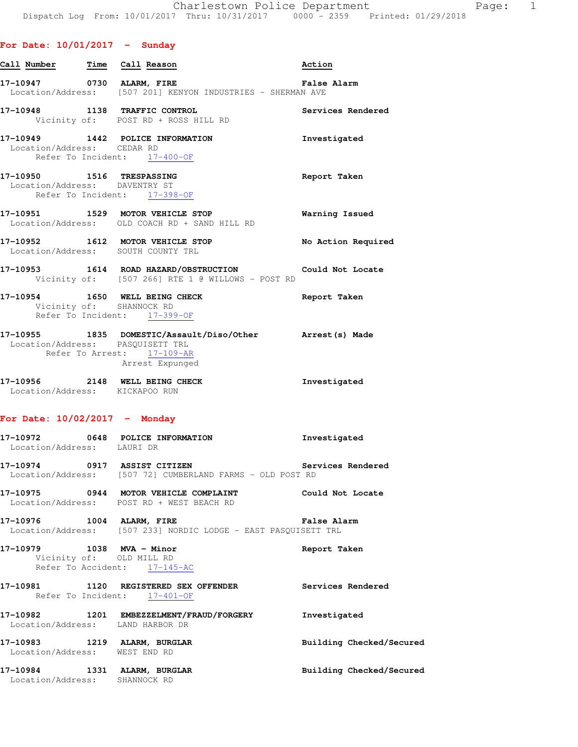| Call Number <b>Time</b> Call Reason                           |                                                                                                                          | Action             |
|---------------------------------------------------------------|--------------------------------------------------------------------------------------------------------------------------|--------------------|
|                                                               | 17-10947 0730 ALARM, FIRE <b>1898 1899 12 False Alarm</b><br>Location/Address: [507 201] KENYON INDUSTRIES - SHERMAN AVE |                    |
| 17-10948 1138 TRAFFIC CONTROL                                 | Vicinity of: POST RD + ROSS HILL RD                                                                                      | Services Rendered  |
| Location/Address: CEDAR RD                                    | 17-10949 1442 POLICE INFORMATION<br>Refer To Incident: 17-400-OF                                                         | Investigated       |
| 17-10950    1516 TRESPASSING<br>Location/Address: DAVENTRY ST | Refer To Incident: 17-398-OF                                                                                             | Report Taken       |
|                                                               | 17-10951 1529 MOTOR VEHICLE STOP<br>Location/Address: OLD COACH RD + SAND HILL RD                                        | Warning Issued     |
|                                                               | 17-10952 1612 MOTOR VEHICLE STOP<br>Location/Address: SOUTH COUNTY TRL                                                   | No Action Required |
|                                                               | 17-10953 1614 ROAD HAZARD/OBSTRUCTION Could Not Locate<br>Vicinity of: [507 266] RTE 1 @ WILLOWS - POST RD               |                    |
|                                                               | 17-10954 1650 WELL BEING CHECK<br>Vicinity of: SHANNOCK RD<br>Refer To Incident: 17-399-OF                               | Report Taken       |
| Location/Address: PASOUISETT TRL                              | 17-10955 1835 DOMESTIC/Assault/Diso/Other Arrest(s) Made<br>Refer To Arrest: 17-109-AR<br>Arrest Expunged                |                    |

| 17-10956          | 2148 | WELL BEING CHECK | Investigated |
|-------------------|------|------------------|--------------|
| Location/Address: |      | KICKAPOO RUN     |              |

## **For Date: 10/02/2017 - Monday**

- **17-10972 0648 POLICE INFORMATION Investigated**  Location/Address: LAURI DR
- **17-10974 0917 ASSIST CITIZEN Services Rendered**  Location/Address: [507 72] CUMBERLAND FARMS - OLD POST RD
- **17-10975 0944 MOTOR VEHICLE COMPLAINT Could Not Locate**  Location/Address: POST RD + WEST BEACH RD
- **17-10976 1004 ALARM, FIRE False Alarm**  Location/Address: [507 233] NORDIC LODGE - EAST PASQUISETT TRL
- **17-10979 1038 MVA Minor Report Taken**  Vicinity of: OLD MILL RD Refer To Accident: 17-145-AC
- **17-10981 1120 REGISTERED SEX OFFENDER Services Rendered**  Refer To Incident: 17-401-OF
- **17-10982 1201 EMBEZZELMENT/FRAUD/FORGERY Investigated**  Location/Address: LAND HARBOR DR
- Location/Address: WEST END RD
- **17-10984 1331 ALARM, BURGLAR Building Checked/Secured**  Location/Address: SHANNOCK RD
- 
- 
- 
- 
- **17-10983 1219 ALARM, BURGLAR Building Checked/Secured** 
	-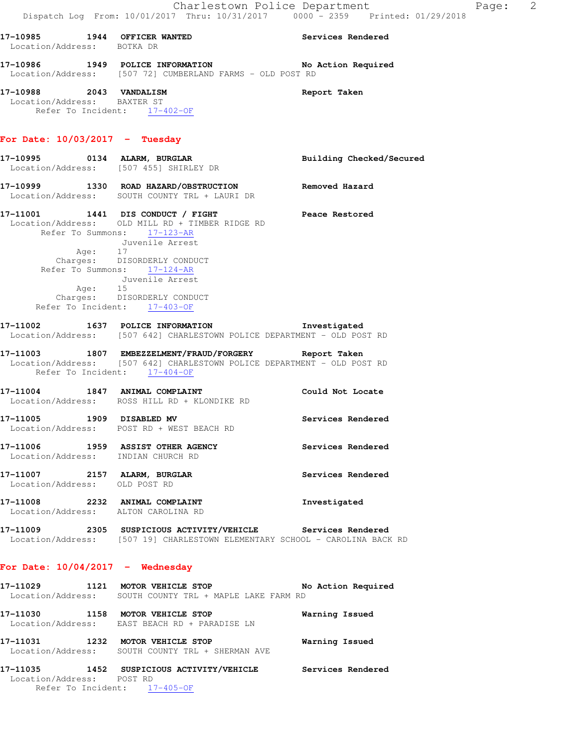| Location/Address: BOTKA DR                                            | 17-10985 1944 OFFICER WANTED                                                                                                                                                                                                                                                                                       | Services Rendered        |
|-----------------------------------------------------------------------|--------------------------------------------------------------------------------------------------------------------------------------------------------------------------------------------------------------------------------------------------------------------------------------------------------------------|--------------------------|
|                                                                       | 17-10986 1949 POLICE INFORMATION No Action Required<br>Location/Address: [507 72] CUMBERLAND FARMS - OLD POST RD                                                                                                                                                                                                   |                          |
| 17-10988 2043 VANDALISM<br>Location/Address: BAXTER ST                | Refer To Incident: 17-402-OF                                                                                                                                                                                                                                                                                       | Report Taken             |
| For Date: $10/03/2017$ - Tuesday                                      |                                                                                                                                                                                                                                                                                                                    |                          |
|                                                                       | 17-10995 0134 ALARM, BURGLAR<br>Location/Address: [507 455] SHIRLEY DR                                                                                                                                                                                                                                             | Building Checked/Secured |
|                                                                       | 17-10999 1330 ROAD HAZARD/OBSTRUCTION Removed Hazard<br>Location/Address: SOUTH COUNTY TRL + LAURI DR                                                                                                                                                                                                              |                          |
| Age: 17<br>Age: 15                                                    | 17-11001 1441 DIS CONDUCT / FIGHT Peace Restored<br>Location/Address: OLD MILL RD + TIMBER RIDGE RD<br>Refer To Summons: 17-123-AR<br>Juvenile Arrest<br>Charges: DISORDERLY CONDUCT<br>Refer To Summons: $\frac{17-124-AR}{12}$<br>Juvenile Arrest<br>Charges: DISORDERLY CONDUCT<br>Refer To Incident: 17-403-OF |                          |
|                                                                       | 17-11002 1637 POLICE INFORMATION Investigated<br>Location/Address: [507 642] CHARLESTOWN POLICE DEPARTMENT - OLD POST RD                                                                                                                                                                                           |                          |
| Refer To Incident: 17-404-OF                                          | 17-11003 1807 EMBEZZELMENT/FRAUD/FORGERY Report Taken<br>Location/Address: [507 642] CHARLESTOWN POLICE DEPARTMENT - OLD POST RD                                                                                                                                                                                   |                          |
|                                                                       | 17-11004 1847 ANIMAL COMPLAINT COULD Could Not Locate<br>Location/Address: ROSS HILL RD + KLONDIKE RD                                                                                                                                                                                                              |                          |
|                                                                       | 17-11005 1909 DISABLED MV<br>Location/Address: POST RD + WEST BEACH RD                                                                                                                                                                                                                                             | Services Rendered        |
| Location/Address: INDIAN CHURCH RD                                    | 17-11006 1959 ASSIST OTHER AGENCY                                                                                                                                                                                                                                                                                  | Services Rendered        |
| 17-11007 2157 ALARM, BURGLAR<br>Location/Address: OLD POST RD         |                                                                                                                                                                                                                                                                                                                    | Services Rendered        |
| 17-11008 2232 ANIMAL COMPLAINT<br>Location/Address: ALTON CAROLINA RD |                                                                                                                                                                                                                                                                                                                    | Investigated             |
|                                                                       | 17-11009 2305 SUSPICIOUS ACTIVITY/VEHICLE Services Rendered<br>Location/Address: [507 19] CHARLESTOWN ELEMENTARY SCHOOL - CAROLINA BACK RD                                                                                                                                                                         |                          |

## **For Date: 10/04/2017 - Wednesday**

| 17-11029<br>Location/Address: | 1121 | MOTOR VEHICLE STOP<br>SOUTH COUNTY TRL + MAPLE LAKE FARM RD         | No Action Required |
|-------------------------------|------|---------------------------------------------------------------------|--------------------|
| 17-11030                      | 1158 | MOTOR VEHICLE STOP<br>Location/Address: EAST BEACH RD + PARADISE LN | Warning Issued     |
| 17–11031<br>Location/Address: | 1232 | MOTOR VEHICLE STOP<br>SOUTH COUNTY TRL + SHERMAN AVE                | Warning Issued     |
| 17-11035                      | 1452 | SUSPICIOUS ACTIVITY/VEHICLE                                         | Services Rendered  |

 Location/Address: POST RD Refer To Incident: 17-405-OF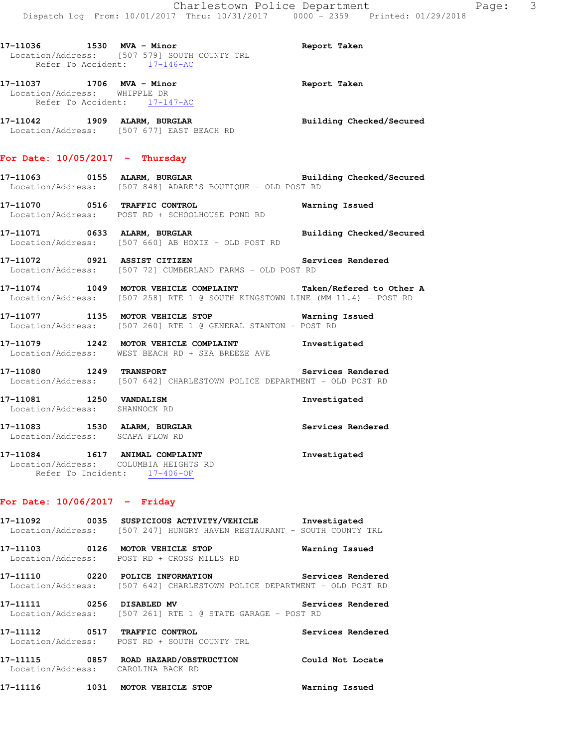**17-11037 1706 MVA - Minor Report Taken**  Location/Address: WHIPPLE DR Refer To Accident: 17-147-AC

**17-11042 1909 ALARM, BURGLAR Building Checked/Secured**  Location/Address: [507 677] EAST BEACH RD

## **For Date: 10/05/2017 - Thursday**

**17-11063 0155 ALARM, BURGLAR Building Checked/Secured**  Location/Address: [507 848] ADARE'S BOUTIQUE - OLD POST RD

**17-11070 0516 TRAFFIC CONTROL Warning Issued**  Location/Address: POST RD + SCHOOLHOUSE POND RD

**17-11071 0633 ALARM, BURGLAR Building Checked/Secured**  Location/Address: [507 660] AB HOXIE - OLD POST RD

**17-11072 0921 ASSIST CITIZEN Services Rendered**  Location/Address: [507 72] CUMBERLAND FARMS - OLD POST RD

**17-11074 1049 MOTOR VEHICLE COMPLAINT Taken/Refered to Other A**  Location/Address: [507 258] RTE 1 @ SOUTH KINGSTOWN LINE (MM 11.4) - POST RD

**17-11077 1135 MOTOR VEHICLE STOP Warning Issued**  Location/Address: [507 260] RTE 1 @ GENERAL STANTON - POST RD

**17-11079 1242 MOTOR VEHICLE COMPLAINT Investigated**  Location/Address: WEST BEACH RD + SEA BREEZE AVE

**17-11080 1249 TRANSPORT Services Rendered**  Location/Address: [507 642] CHARLESTOWN POLICE DEPARTMENT - OLD POST RD

**17-11081 1250 VANDALISM Investigated**  Location/Address: SHANNOCK RD

**17-11083 1530 ALARM, BURGLAR Services Rendered**  Location/Address: SCAPA FLOW RD

**17-11084 1617 ANIMAL COMPLAINT Investigated**  Location/Address: COLUMBIA HEIGHTS RD Refer To Incident: 17-406-OF

## **For Date: 10/06/2017 - Friday**

**17-11092 0035 SUSPICIOUS ACTIVITY/VEHICLE Investigated**  Location/Address: [507 247] HUNGRY HAVEN RESTAURANT - SOUTH COUNTY TRL **17-11103 0126 MOTOR VEHICLE STOP Warning Issued**  Location/Address: POST RD + CROSS MILLS RD **17-11110 0220 POLICE INFORMATION Services Rendered**  Location/Address: [507 642] CHARLESTOWN POLICE DEPARTMENT - OLD POST RD **17-11111 0256 DISABLED MV Services Rendered**  Location/Address: [507 261] RTE 1 @ STATE GARAGE - POST RD **17-11112 0517 TRAFFIC CONTROL Services Rendered**  Location/Address: POST RD + SOUTH COUNTY TRL **17-11115 0857 ROAD HAZARD/OBSTRUCTION Could Not Locate** 

Location/Address: CAROLINA BACK RD

**17-11116 1031 MOTOR VEHICLE STOP Warning Issued**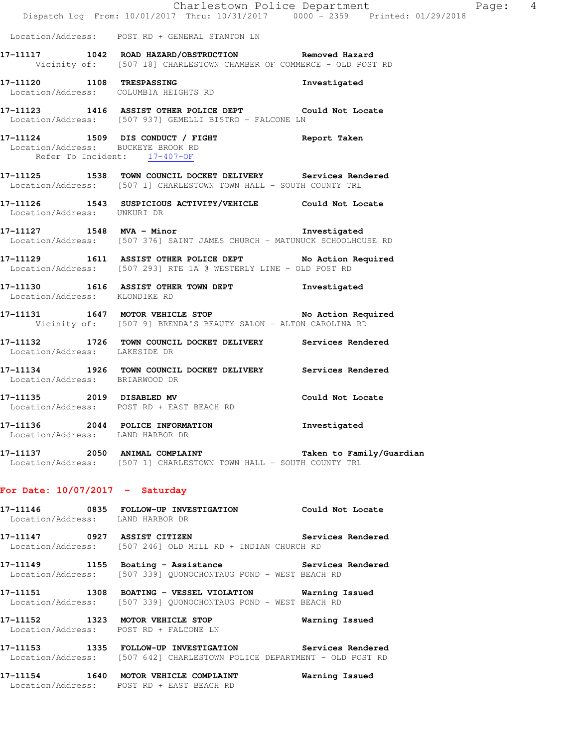|                                    |                                                                                                                                                                                               | Charlestown Police Department Page: 4 |  |
|------------------------------------|-----------------------------------------------------------------------------------------------------------------------------------------------------------------------------------------------|---------------------------------------|--|
|                                    | Dispatch Log From: 10/01/2017 Thru: 10/31/2017 0000 - 2359 Printed: 01/29/2018                                                                                                                |                                       |  |
|                                    | Location/Address: POST RD + GENERAL STANTON LN                                                                                                                                                |                                       |  |
|                                    | 17-11117 1042 ROAD HAZARD/OBSTRUCTION Removed Hazard<br>Vicinity of: [507 18] CHARLESTOWN CHAMBER OF COMMERCE - OLD POST RD                                                                   |                                       |  |
|                                    | 17-11120 1108 TRESPASSING<br>Location/Address: COLUMBIA HEIGHTS RD                                                                                                                            | Investigated                          |  |
|                                    | 17-11123 1416 ASSIST OTHER POLICE DEPT Could Not Locate<br>Location/Address: [507 937] GEMELLI BISTRO - FALCONE LN                                                                            |                                       |  |
| Location/Address: BUCKEYE BROOK RD | 17-11124 1509 DIS CONDUCT / FIGHT Report Taken<br>Refer To Incident: $\frac{17-407-OF}{25}$                                                                                                   |                                       |  |
|                                    | 17-11125 1538 TOWN COUNCIL DOCKET DELIVERY Services Rendered<br>Location/Address: [507 1] CHARLESTOWN TOWN HALL - SOUTH COUNTY TRL                                                            |                                       |  |
| Location/Address: UNKURI DR        | 17-11126 1543 SUSPICIOUS ACTIVITY/VEHICLE Could Not Locate                                                                                                                                    |                                       |  |
|                                    | 17-11127 1548 MVA - Minor and School and School and School and School and School and School and School and School<br>Location/Address: [507 376] SAINT JAMES CHURCH - MATUNUCK SCHOOLHOUSE RD |                                       |  |
|                                    | 17-11129 1611 ASSIST OTHER POLICE DEPT No Action Required<br>Location/Address: [507 293] RTE 1A @ WESTERLY LINE - OLD POST RD                                                                 |                                       |  |
| Location/Address: KLONDIKE RD      | 17-11130 1616 ASSIST OTHER TOWN DEPT Threstigated                                                                                                                                             |                                       |  |
|                                    | 17-11131 1647 MOTOR VEHICLE STOP No Action Required<br>Vicinity of: [507 9] BRENDA'S BEAUTY SALON - ALTON CAROLINA RD                                                                         |                                       |  |
| Location/Address: LAKESIDE DR      | 17-11132 1726 TOWN COUNCIL DOCKET DELIVERY Services Rendered                                                                                                                                  |                                       |  |
| Location/Address: BRIARWOOD DR     | 17-11134 1926 TOWN COUNCIL DOCKET DELIVERY Services Rendered                                                                                                                                  |                                       |  |
|                                    | 17-11135 2019 DISABLED MV<br>Location/Address: POST RD + EAST BEACH RD                                                                                                                        | Could Not Locate                      |  |
| Location/Address: LAND HARBOR DR   | 17-11136 2044 POLICE INFORMATION                                                                                                                                                              | Investigated                          |  |
|                                    | 17-11137 2050 ANIMAL COMPLAINT Taken to Family/Guardian<br>Location/Address: [507 1] CHARLESTOWN TOWN HALL - SOUTH COUNTY TRL                                                                 |                                       |  |
| For Date: $10/07/2017 -$ Saturday  |                                                                                                                                                                                               |                                       |  |
| Location/Address: LAND HARBOR DR   | 17-11146 0835 FOLLOW-UP INVESTIGATION Could Not Locate                                                                                                                                        |                                       |  |
|                                    | 17-11147 0927 ASSIST CITIZEN Services Rendered<br>Location/Address: [507 246] OLD MILL RD + INDIAN CHURCH RD                                                                                  |                                       |  |
|                                    | 17-11149 1155 Boating - Assistance Services Rendered<br>Location/Address: [507 339] QUONOCHONTAUG POND - WEST BEACH RD                                                                        |                                       |  |
|                                    | 17-11151 1308 BOATING - VESSEL VIOLATION Warning Issued<br>Location/Address: [507 339] QUONOCHONTAUG POND - WEST BEACH RD                                                                     |                                       |  |
|                                    | 17-11152 1323 MOTOR VEHICLE STOP Warning Issued<br>Location/Address: POST RD + FALCONE LN                                                                                                     |                                       |  |
|                                    | 17-11153 1335 FOLLOW-UP INVESTIGATION Services Rendered<br>Location/Address: [507 642] CHARLESTOWN POLICE DEPARTMENT - OLD POST RD                                                            |                                       |  |

**17-11154 1640 MOTOR VEHICLE COMPLAINT Warning Issued**  Location/Address: POST RD + EAST BEACH RD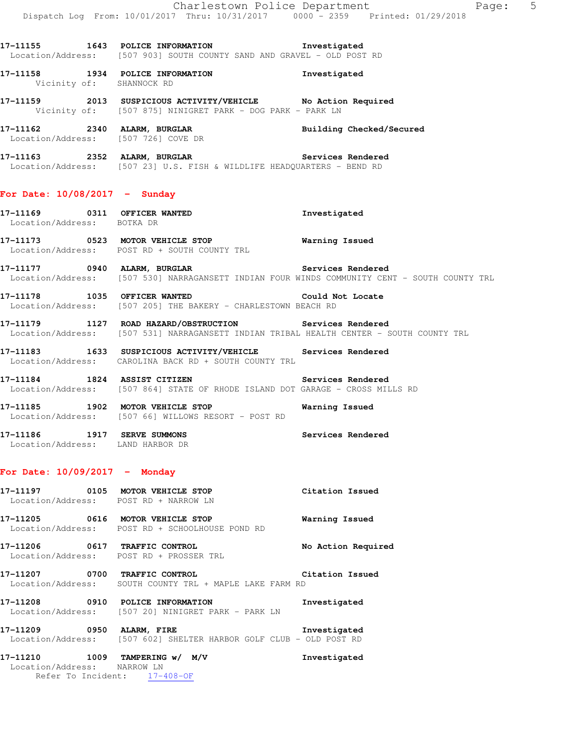**17-11155 1643 POLICE INFORMATION Investigated**  Location/Address: [507 903] SOUTH COUNTY SAND AND GRAVEL - OLD POST RD

**17-11158 1934 POLICE INFORMATION Investigated**  Vicinity of: SHANNOCK RD

**17-11159 2013 SUSPICIOUS ACTIVITY/VEHICLE No Action Required**  Vicinity of: [507 875] NINIGRET PARK - DOG PARK - PARK LN

**17-11162 2340 ALARM, BURGLAR Building Checked/Secured**  Location/Address: [507 726] COVE DR

**17-11163 2352 ALARM, BURGLAR Services Rendered**  Location/Address: [507 23] U.S. FISH & WILDLIFE HEADQUARTERS - BEND RD

#### **For Date: 10/08/2017 - Sunday**

**17-11169 0311 OFFICER WANTED Investigated**  Location/Address: BOTKA DR **17-11173 0523 MOTOR VEHICLE STOP Warning Issued** 

Location/Address: POST RD + SOUTH COUNTY TRL

**17-11177 0940 ALARM, BURGLAR Services Rendered**  Location/Address: [507 530] NARRAGANSETT INDIAN FOUR WINDS COMMUNITY CENT - SOUTH COUNTY TRL

**17-11178 1035 OFFICER WANTED Could Not Locate**  Location/Address: [507 205] THE BAKERY - CHARLESTOWN BEACH RD

**17-11179 1127 ROAD HAZARD/OBSTRUCTION Services Rendered**  Location/Address: [507 531] NARRAGANSETT INDIAN TRIBAL HEALTH CENTER - SOUTH COUNTY TRL

**17-11183 1633 SUSPICIOUS ACTIVITY/VEHICLE Services Rendered**  Location/Address: CAROLINA BACK RD + SOUTH COUNTY TRL

**17-11184 1824 ASSIST CITIZEN Services Rendered**  Location/Address: [507 864] STATE OF RHODE ISLAND DOT GARAGE - CROSS MILLS RD

**17-11185 1902 MOTOR VEHICLE STOP Warning Issued**  Location/Address: [507 66] WILLOWS RESORT - POST RD

**17-11186 1917 SERVE SUMMONS Services Rendered**  Location/Address: LAND HARBOR DR

## **For Date: 10/09/2017 - Monday**

| 17–11197<br>0105<br>Location/Address: | MOTOR VEHICLE STOP<br>POST RD + NARROW LN                        | Citation Issued    |
|---------------------------------------|------------------------------------------------------------------|--------------------|
| 0616<br>17–11205<br>Location/Address: | MOTOR VEHICLE STOP<br>POST RD + SCHOOLHOUSE POND RD              | Warning Issued     |
| 17-11206<br>0617<br>Location/Address: | TRAFFIC CONTROL<br>POST RD + PROSSER TRL                         | No Action Required |
| 0700<br>17–11207<br>Location/Address: | TRAFFIC CONTROL<br>SOUTH COUNTY TRI. + MAPLE LAKE FARM RD        | Citation Issued    |
| 17-11208<br>0910<br>Location/Address: | <b>INFORMATION</b><br>POLICE<br>1507 201 NINIGRET PARK - PARK LN | Investigated       |

**17-11209 0950 ALARM, FIRE Investigated**  Location/Address: [507 602] SHELTER HARBOR GOLF CLUB - OLD POST RD

**17-11210 1009 TAMPERING w/ M/V Investigated**  Location/Address: NARROW LN Refer To Incident: 17-408-OF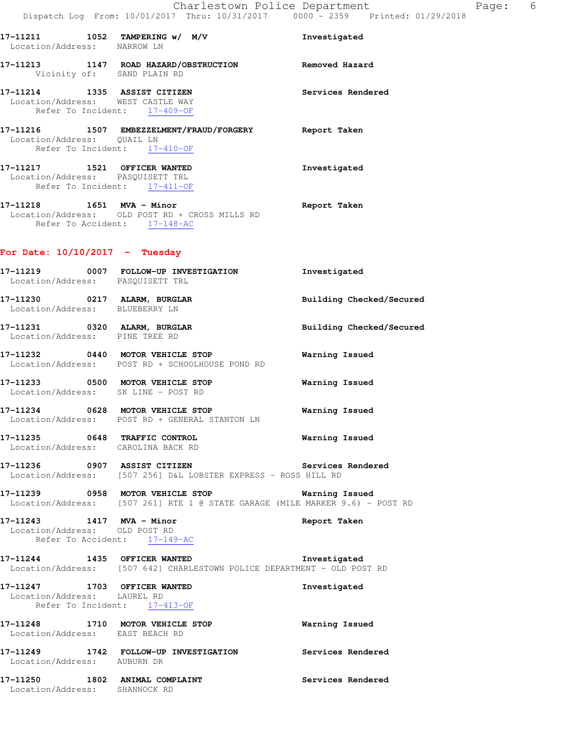Refer To Incident: 17-409-OF **17-11216 1507 EMBEZZELMENT/FRAUD/FORGERY Report Taken**  Location/Address: QUAIL LN Refer To Incident: 17-410-OF

**17-11217 1521 OFFICER WANTED Investigated**  Location/Address: PASQUISETT TRL Refer To Incident: 17-411-OF

**17-11218 1651 MVA - Minor Report Taken**  Location/Address: OLD POST RD + CROSS MILLS RD Refer To Accident: 17-148-AC

## **For Date: 10/10/2017 - Tuesday**

Location/Address: WEST CASTLE WAY

| 17-11219<br>Location/Address: | 0007 | FOLLOW-UP INVESTIGATION<br>PASQUISETT TRL                                    | Investigated             |
|-------------------------------|------|------------------------------------------------------------------------------|--------------------------|
| 17-11230<br>Location/Address: | 0217 | ALARM, BURGLAR<br>BLUEBERRY LN                                               | Building Checked/Secured |
| 17–11231<br>Location/Address: | 0320 | ALARM, BURGLAR<br>PINE TREE RD                                               | Building Checked/Secured |
| 17-11232                      | 0440 | <b>MOTOR VEHICLE STOP</b><br>Location/Address: POST RD + SCHOOLHOUSE POND RD | Warning Issued           |
| 17–11233<br>Location/Address: | 0500 | MOTOR VEHICLE STOP<br>SK LINE - POST RD                                      | Warning Issued           |
| 17-11234                      |      | 0628 MOTOR VEHICLE STOP<br>Location/Address: POST RD + GENERAL STANTON LN    | Warning Issued           |
| 17-11235                      | 0648 | TRAFFIC CONTROL                                                              | Warning Issued           |

**17-11236 0907 ASSIST CITIZEN Services Rendered**  Location/Address: [507 256] D&L LOBSTER EXPRESS - ROSS HILL RD

**17-11239 0958 MOTOR VEHICLE STOP Warning Issued**  Location/Address: [507 261] RTE 1 @ STATE GARAGE (MILE MARKER 9.6) - POST RD

**17-11243 1417 MVA - Minor Report Taken**  Location/Address: OLD POST RD Refer To Accident: 17-149-AC

Location/Address: CAROLINA BACK RD

**17-11244 1435 OFFICER WANTED Investigated**  Location/Address: [507 642] CHARLESTOWN POLICE DEPARTMENT - OLD POST RD

**17-11247 1703 OFFICER WANTED Investigated**  Location/Address: LAUREL RD Refer To Incident: 17-413-OF **17-11248 1710 MOTOR VEHICLE STOP Warning Issued**  Location/Address: EAST BEACH RD **17-11249 1742 FOLLOW-UP INVESTIGATION Services Rendered**  Location/Address: AUBURN DR **17-11250 1802 ANIMAL COMPLAINT Services Rendered**  Location/Address: SHANNOCK RD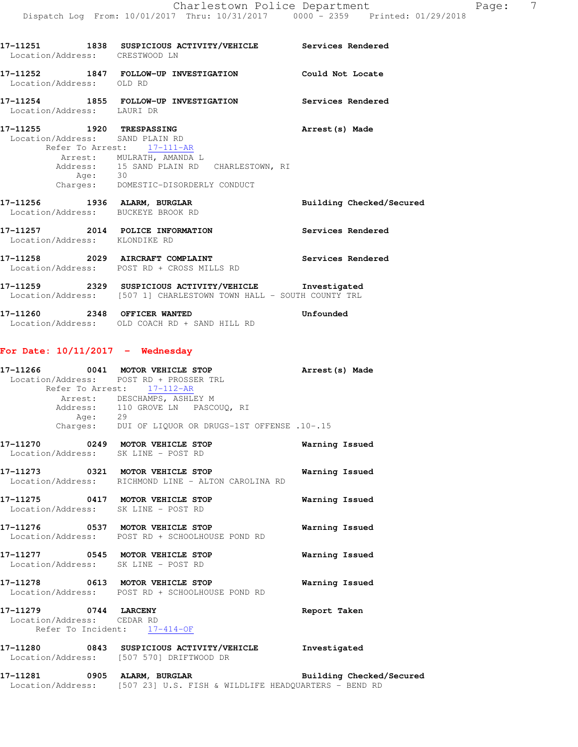| Location/Address: CRESTWOOD LN                               | 17-11251 1838 SUSPICIOUS ACTIVITY/VEHICLE Services Rendered                                                                                             |                          |
|--------------------------------------------------------------|---------------------------------------------------------------------------------------------------------------------------------------------------------|--------------------------|
| Location/Address: OLD RD                                     | 17-11252 1847 FOLLOW-UP INVESTIGATION Could Not Locate                                                                                                  |                          |
| Location/Address: LAURI DR                                   | 17-11254 1855 FOLLOW-UP INVESTIGATION Services Rendered                                                                                                 |                          |
| 17-11255 1920 TRESPASSING<br>Location/Address: SAND PLAIN RD | Refer To Arrest: 17-111-AR<br>Arrest: MULRATH, AMANDA L<br>Address: 15 SAND PLAIN RD CHARLESTOWN, RI<br>Age: 30<br>Charges: DOMESTIC-DISORDERLY CONDUCT | Arrest (s) Made          |
| Location/Address: BUCKEYE BROOK RD                           | 17-11256 1936 ALARM, BURGLAR                                                                                                                            | Building Checked/Secured |
| Location/Address: KLONDIKE RD                                | 17-11257 2014 POLICE INFORMATION                                                                                                                        | <b>Services Rendered</b> |
|                                                              | 17-11258 2029 AIRCRAFT COMPLAINT<br>Location/Address: POST RD + CROSS MILLS RD                                                                          | Services Rendered        |
|                                                              | 17-11259 2329 SUSPICIOUS ACTIVITY/VEHICLE Investigated<br>Location/Address: [507 1] CHARLESTOWN TOWN HALL - SOUTH COUNTY TRL                            |                          |
|                                                              | 17-11260 2348 OFFICER WANTED <b>17-11260</b> Unfounded<br>Location/Address: OLD COACH RD + SAND HILL RD                                                 |                          |
| For Date: $10/11/2017$ - Wednesday                           |                                                                                                                                                         |                          |

|         | 17-11266 0041 MOTOR VEHICLE STOP<br>Location/Address: POST RD + PROSSER TRL<br>Refer To Arrest: 17-112-AR | Arrest(s) Made |
|---------|-----------------------------------------------------------------------------------------------------------|----------------|
| Age: 29 | Arrest: DESCHAMPS, ASHLEY M<br>Address: 110 GROVE LN PASCOUQ, RI                                          |                |
|         | Charges: DUI OF LIQUOR OR DRUGS-1ST OFFENSE .10-.15                                                       |                |
|         | 17-11270 0249 MOTOR VEHICLE STOP<br>Location/Address: SK LINE - POST RD                                   | Warning Issued |
|         | 17-11273 0321 MOTOR VEHICLE STOP<br>Location/Address: RICHMOND LINE - ALTON CAROLINA RD                   | Warning Issued |
|         | 17-11275 0417 MOTOR VEHICLE STOP<br>Location/Address: SK LINE - POST RD                                   | Warning Issued |
|         | 17-11276 0537 MOTOR VEHICLE STOP<br>Location/Address: POST RD + SCHOOLHOUSE POND RD                       | Warning Issued |
|         | 17-11277 0545 MOTOR VEHICLE STOP<br>Location/Address: SK LINE - POST RD                                   | Warning Issued |
|         | $17-11278$ 0613 MOTOR VEHICLE STOP                                                                        | Warning Issued |

 Location/Address: POST RD + SCHOOLHOUSE POND RD **17-11279 0744 LARCENY Report Taken**  Location/Address: CEDAR RD

Refer To Incident: 17-414-OF

## **17-11280 0843 SUSPICIOUS ACTIVITY/VEHICLE Investigated**  Location/Address: [507 570] DRIFTWOOD DR

**17-11281 0905 ALARM, BURGLAR Building Checked/Secured**  Location/Address: [507 23] U.S. FISH & WILDLIFE HEADQUARTERS - BEND RD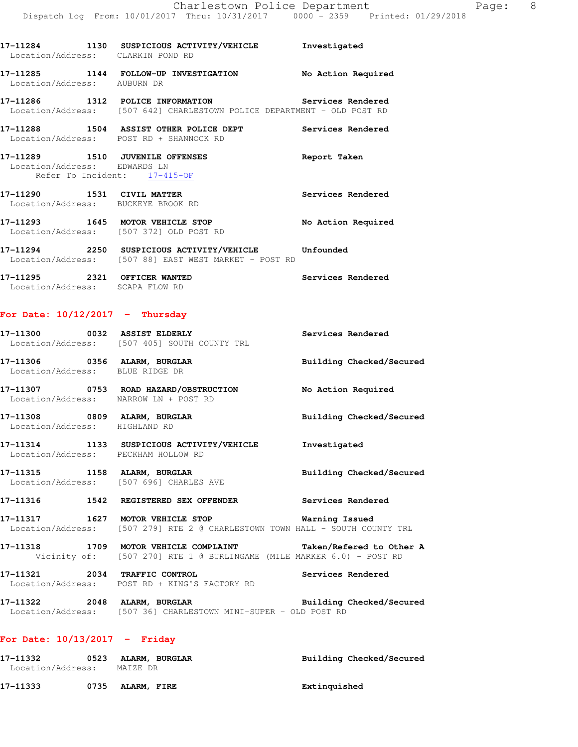| Location/Address: CLARKIN POND RD                                                               | 17-11284 1130 SUSPICIOUS ACTIVITY/VEHICLE 5 Investigated                                                                      |                    |
|-------------------------------------------------------------------------------------------------|-------------------------------------------------------------------------------------------------------------------------------|--------------------|
| Location/Address: AUBURN DR                                                                     | 17-11285   1144   FOLLOW-UP INVESTIGATION                                                                                     | No Action Required |
|                                                                                                 | 17-11286 1312 POLICE INFORMATION Services Rendered<br>Location/Address: [507 642] CHARLESTOWN POLICE DEPARTMENT - OLD POST RD |                    |
| Location/Address: POST RD + SHANNOCK RD                                                         | 17-11288 1504 ASSIST OTHER POLICE DEPT Services Rendered                                                                      |                    |
| 17-11289 1510 JUVENILE OFFENSES<br>Location/Address: EDWARDS LN<br>Refer To Incident: 17-415-OF |                                                                                                                               | Report Taken       |
| Location/Address: BUCKEYE BROOK RD                                                              |                                                                                                                               | Services Rendered  |
| 17-11293 1645 MOTOR VEHICLE STOP<br>Location/Address: [507 372] OLD POST RD                     |                                                                                                                               | No Action Required |
|                                                                                                 | 17-11294 2250 SUSPICIOUS ACTIVITY/VEHICLE Unfounded<br>Location/Address: [507 88] EAST WEST MARKET - POST RD                  |                    |

**17-11295 2321 OFFICER WANTED Services Rendered**  Location/Address: SCAPA FLOW RD

# **For Date: 10/12/2017 - Thursday**

|                                       | 17-11300 0032 ASSIST ELDERLY<br>Location/Address: [507 405] SOUTH COUNTY TRL                                                            | Services Rendered        |
|---------------------------------------|-----------------------------------------------------------------------------------------------------------------------------------------|--------------------------|
| Location/Address: BLUE RIDGE DR       |                                                                                                                                         |                          |
| Location/Address: NARROW LN + POST RD | 17-11307 0753 ROAD HAZARD/OBSTRUCTION No Action Required                                                                                |                          |
| Location/Address: HIGHLAND RD         | 17-11308 0809 ALARM, BURGLAR                                                                                                            | Building Checked/Secured |
| Location/Address: PECKHAM HOLLOW RD   | 17-11314 1133 SUSPICIOUS ACTIVITY/VEHICLE Investigated                                                                                  |                          |
|                                       | 17-11315 1158 ALARM, BURGLAR <b>BURGLAR</b> Building Checked/Secured<br>Location/Address: [507 696] CHARLES AVE                         |                          |
|                                       | 17-11316 1542 REGISTERED SEX OFFENDER Services Rendered                                                                                 |                          |
|                                       | 17-11317 1627 MOTOR VEHICLE STOP <b>Warning Issued</b><br>Location/Address: [507 279] RTE 2 @ CHARLESTOWN TOWN HALL - SOUTH COUNTY TRL  |                          |
|                                       | 17-11318 1709 MOTOR VEHICLE COMPLAINT Taken/Refered to Other A<br>Vicinity of: [507 270] RTE 1 @ BURLINGAME (MILE MARKER 6.0) - POST RD |                          |
| 17-11321 2034 TRAFFIC CONTROL         | Location/Address: POST RD + KING'S FACTORY RD                                                                                           | Services Rendered        |
|                                       | 17-11322 2048 ALARM, BURGLAR 2008 2011 Building Checked/Secured<br>Location/Address: [507 36] CHARLESTOWN MINI-SUPER - OLD POST RD      |                          |

## **For Date: 10/13/2017 - Friday**

| 17–11332          | 0523 | ALARM, BURGLAR | Building Checked/Secured |
|-------------------|------|----------------|--------------------------|
| Location/Address: |      | MAIZE DR       |                          |
|                   |      |                |                          |
| 17–11333          | 0735 | ALARM, FIRE    | Extinquished             |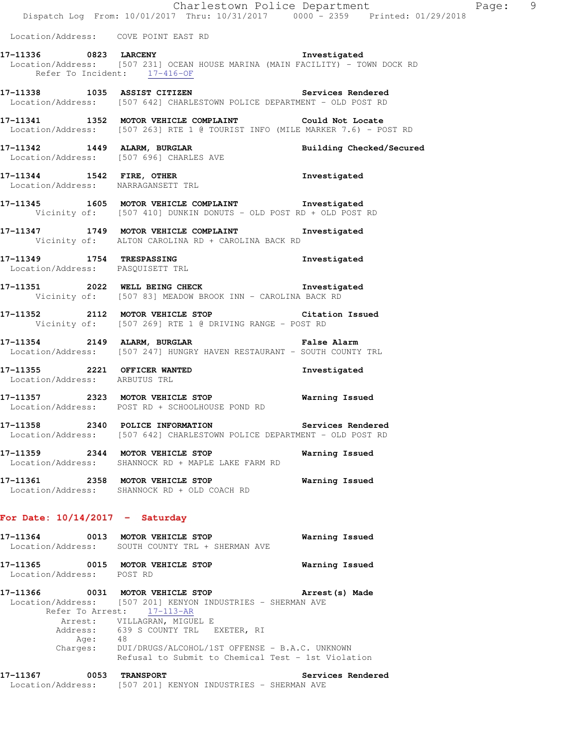Location/Address: COVE POINT EAST RD

**17-11336 0823 LARCENY Investigated**  Location/Address: [507 231] OCEAN HOUSE MARINA (MAIN FACILITY) - TOWN DOCK RD Refer To Incident: 17-416-OF

**17-11338 1035 ASSIST CITIZEN Services Rendered**  Location/Address: [507 642] CHARLESTOWN POLICE DEPARTMENT - OLD POST RD

**17-11341 1352 MOTOR VEHICLE COMPLAINT Could Not Locate**  Location/Address: [507 263] RTE 1 @ TOURIST INFO (MILE MARKER 7.6) - POST RD

**17-11342 1449 ALARM, BURGLAR Building Checked/Secured**  Location/Address: [507 696] CHARLES AVE

**17-11344 1542 FIRE, OTHER Investigated**  Location/Address: NARRAGANSETT TRL

**17-11345 1605 MOTOR VEHICLE COMPLAINT Investigated**  Vicinity of: [507 410] DUNKIN DONUTS - OLD POST RD + OLD POST RD

**17-11347 1749 MOTOR VEHICLE COMPLAINT Investigated**  Vicinity of: ALTON CAROLINA RD + CAROLINA BACK RD

**17-11349 1754 TRESPASSING Investigated**  Location/Address: PASQUISETT TRL

**17-11351 2022 WELL BEING CHECK Investigated**  Vicinity of: [507 83] MEADOW BROOK INN - CAROLINA BACK RD

**17-11352 2112 MOTOR VEHICLE STOP Citation Issued**  Vicinity of: [507 269] RTE 1 @ DRIVING RANGE - POST RD

**17-11354 2149 ALARM, BURGLAR False Alarm**  Location/Address: [507 247] HUNGRY HAVEN RESTAURANT - SOUTH COUNTY TRL

**17-11355 2221 OFFICER WANTED Investigated**  Location/Address: ARBUTUS TRL

**17-11357 2323 MOTOR VEHICLE STOP Warning Issued**  Location/Address: POST RD + SCHOOLHOUSE POND RD

**17-11358 2340 POLICE INFORMATION Services Rendered**  Location/Address: [507 642] CHARLESTOWN POLICE DEPARTMENT - OLD POST RD

**17-11359 2344 MOTOR VEHICLE STOP Warning Issued**  Location/Address: SHANNOCK RD + MAPLE LAKE FARM RD

**17-11361 2358 MOTOR VEHICLE STOP Warning Issued**  Location/Address: SHANNOCK RD + OLD COACH RD

## **For Date: 10/14/2017 - Saturday**

**17-11364 0013 MOTOR VEHICLE STOP Warning Issued**  Location/Address: SOUTH COUNTY TRL + SHERMAN AVE **17-11365 0015 MOTOR VEHICLE STOP Warning Issued** 

Location/Address: POST RD

**17-11366 0031 MOTOR VEHICLE STOP Arrest(s) Made**  Location/Address: [507 201] KENYON INDUSTRIES - SHERMAN AVE Refer To Arrest: 17-113-AR Arrest: VILLAGRAN, MIGUEL E Address: 639 S COUNTY TRL EXETER, RI Age: 48 Charges: DUI/DRUGS/ALCOHOL/1ST OFFENSE - B.A.C. UNKNOWN Refusal to Submit to Chemical Test - 1st Violation

**17-11367 0053 TRANSPORT Services Rendered**  Location/Address: [507 201] KENYON INDUSTRIES - SHERMAN AVE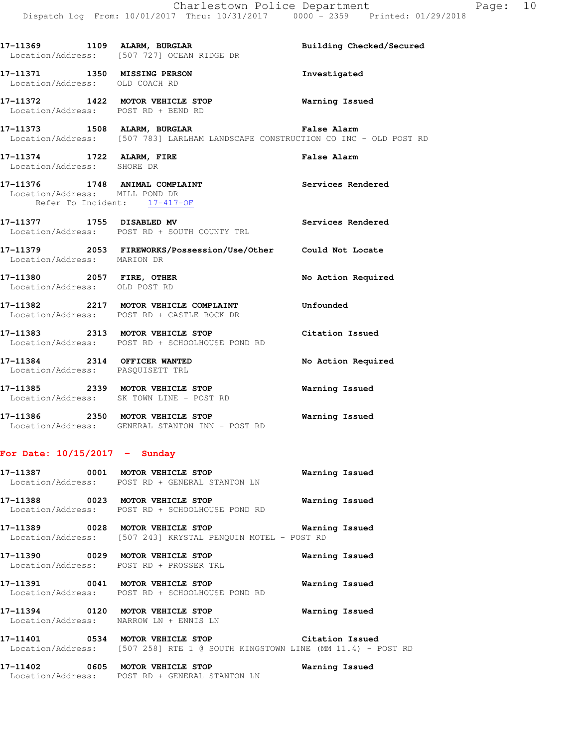17-11369 1109 ALARM, BURGLAR **Building Checked/Secured**  Location/Address: [507 727] OCEAN RIDGE DR **17-11371 1350 MISSING PERSON Investigated**  Location/Address: OLD COACH RD **17-11372 1422 MOTOR VEHICLE STOP Warning Issued**  Location/Address: POST RD + BEND RD **17-11373 1508 ALARM, BURGLAR False Alarm**  Location/Address: [507 783] LARLHAM LANDSCAPE CONSTRUCTION CO INC - OLD POST RD **17-11374 1722 ALARM, FIRE False Alarm**  Location/Address: SHORE DR **17-11376 1748 ANIMAL COMPLAINT Services Rendered**  Location/Address: MILL POND DR Refer To Incident: 17-417-OF **17-11377 1755 DISABLED MV Services Rendered**  Location/Address: POST RD + SOUTH COUNTY TRL **17-11379 2053 FIREWORKS/Possession/Use/Other Could Not Locate**  Location/Address: MARION DR **17-11380 2057 FIRE, OTHER No Action Required**  Location/Address: OLD POST RD **17-11382 2217 MOTOR VEHICLE COMPLAINT Unfounded**  Location/Address: POST RD + CASTLE ROCK DR **17-11383 2313 MOTOR VEHICLE STOP Citation Issued**  Location/Address: POST RD + SCHOOLHOUSE POND RD **17-11384 2314 OFFICER WANTED No Action Required**  Location/Address: PASQUISETT TRL **17-11385 2339 MOTOR VEHICLE STOP Warning Issued**  Location/Address: SK TOWN LINE - POST RD **17-11386 2350 MOTOR VEHICLE STOP Warning Issued** 

# **For Date: 10/15/2017 - Sunday**

Location/Address: GENERAL STANTON INN - POST RD

|  | Location/Address: POST RD + GENERAL STANTON LN                                      |                |  |
|--|-------------------------------------------------------------------------------------|----------------|--|
|  | 17-11388 0023 MOTOR VEHICLE STOP<br>Location/Address: POST RD + SCHOOLHOUSE POND RD | Warning Issued |  |
|  | Location/Address: [507 243] KRYSTAL PENQUIN MOTEL - POST RD                         |                |  |
|  | 17-11390 0029 MOTOR VEHICLE STOP<br>Location/Address: POST RD + PROSSER TRL         | Warning Issued |  |
|  | 17-11391 0041 MOTOR VEHICLE STOP<br>Location/Address: POST RD + SCHOOLHOUSE POND RD | Warning Issued |  |
|  | 17-11394 0120 MOTOR VEHICLE STOP<br>Location/Address: NARROW LN + ENNIS LN          | Warning Issued |  |
|  | Location/Address: [507 258] RTE 1 @ SOUTH KINGSTOWN LINE (MM 11.4) - POST RD        |                |  |

**17-11402 0605 MOTOR VEHICLE STOP Warning Issued**  Location/Address: POST RD + GENERAL STANTON LN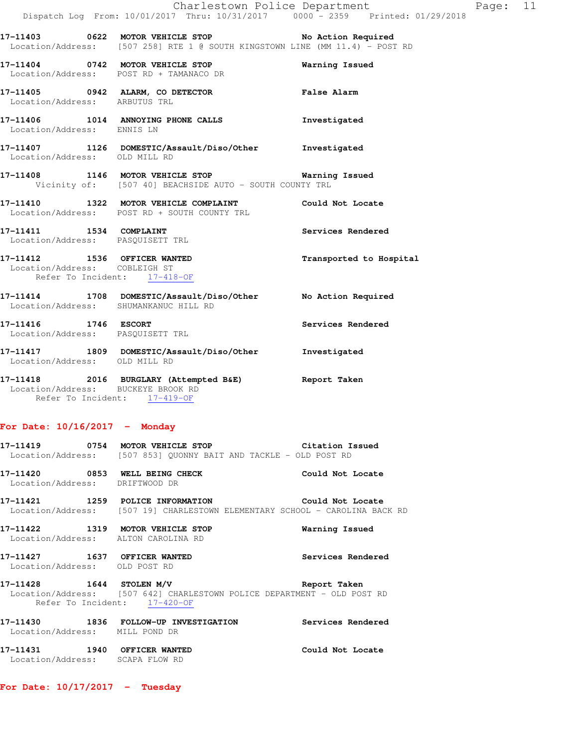|                               |                                                                                                                                     | Charlestown Police Department                                                  | Page: 11 |  |
|-------------------------------|-------------------------------------------------------------------------------------------------------------------------------------|--------------------------------------------------------------------------------|----------|--|
|                               |                                                                                                                                     | Dispatch Log From: 10/01/2017 Thru: 10/31/2017 0000 - 2359 Printed: 01/29/2018 |          |  |
|                               | 17-11403 0622 MOTOR VEHICLE STOP No Action Required<br>Location/Address: [507 258] RTE 1 @ SOUTH KINGSTOWN LINE (MM 11.4) - POST RD |                                                                                |          |  |
|                               | 17-11404 0742 MOTOR VEHICLE STOP<br>Location/Address: POST RD + TAMANACO DR                                                         | Warning Issued                                                                 |          |  |
| Location/Address: ARBUTUS TRL | 17-11405 6942 ALARM, CO DETECTOR Talse Alarm                                                                                        |                                                                                |          |  |
| Location/Address: ENNIS LN    | 17-11406 1014 ANNOYING PHONE CALLS                                                                                                  | Investigated                                                                   |          |  |
| Location/Address: OLD MILL RD | 17-11407 1126 DOMESTIC/Assault/Diso/Other Investigated                                                                              |                                                                                |          |  |
|                               | 17-11408 1146 MOTOR VEHICLE STOP 6 Warning Issued<br>Vicinity of: [507 40] BEACHSIDE AUTO - SOUTH COUNTY TRL                        |                                                                                |          |  |
|                               | 17-11410 1322 MOTOR VEHICLE COMPLAINT Could Not Locate<br>Location/Address: POST RD + SOUTH COUNTY TRL                              |                                                                                |          |  |
|                               | 17-11411 1534 COMPLAINT<br>Location/Address: PASQUISETT TRL                                                                         | Services Rendered                                                              |          |  |
| Location/Address: COBLEIGH ST | 17-11412 1536 OFFICER WANTED<br>Refer To Incident: 17-418-OF                                                                        | Transported to Hospital                                                        |          |  |
|                               | 17-11414 1708 DOMESTIC/Assault/Diso/Other No Action Required<br>Location/Address: SHUMANKANUC HILL RD                               |                                                                                |          |  |
| 17-11416   1746   ESCORT      | Location/Address: PASQUISETT TRL                                                                                                    | Services Rendered                                                              |          |  |
| Location/Address: OLD MILL RD | 17-11417 1809 DOMESTIC/Assault/Diso/Other                                                                                           | Investigated                                                                   |          |  |
|                               | 17-11418 2016 BURGLARY (Attempted B&E) Report Taken                                                                                 |                                                                                |          |  |

 Location/Address: BUCKEYE BROOK RD Refer To Incident: 17-419-OF

# **For Date: 10/16/2017 - Monday**

|                                                                   | 17-11419 0754 MOTOR VEHICLE STOP 6 Citation Issued<br>Location/Address: [507 853] QUONNY BAIT AND TACKLE - OLD POST RD                |                   |
|-------------------------------------------------------------------|---------------------------------------------------------------------------------------------------------------------------------------|-------------------|
| Location/Address: DRIFTWOOD DR                                    | $17-11420$ 0853 WELL BEING CHECK                                                                                                      | Could Not Locate  |
|                                                                   | 17-11421 1259 POLICE INFORMATION Could Not Locate<br>Location/Address: [507 19] CHARLESTOWN ELEMENTARY SCHOOL - CAROLINA BACK RD      |                   |
|                                                                   | 17-11422 1319 MOTOR VEHICLE STOP<br>Location/Address: ALTON CAROLINA RD                                                               | Warning Issued    |
| Location/Address: OLD POST RD                                     | 17-11427   1637   OFFICER WANTED                                                                                                      | Services Rendered |
|                                                                   | $17-11428$ 1644 STOLEN M/V<br>Location/Address: [507 642] CHARLESTOWN POLICE DEPARTMENT - OLD POST RD<br>Refer To Incident: 17-420-OF | Report Taken      |
| Location/Address: MILL POND DR                                    | 17-11430 1836 FOLLOW-UP INVESTIGATION                                                                                                 | Services Rendered |
| 17-11431   1940 OFFICER WANTED<br>Location/Address: SCAPA FLOW RD |                                                                                                                                       | Could Not Locate  |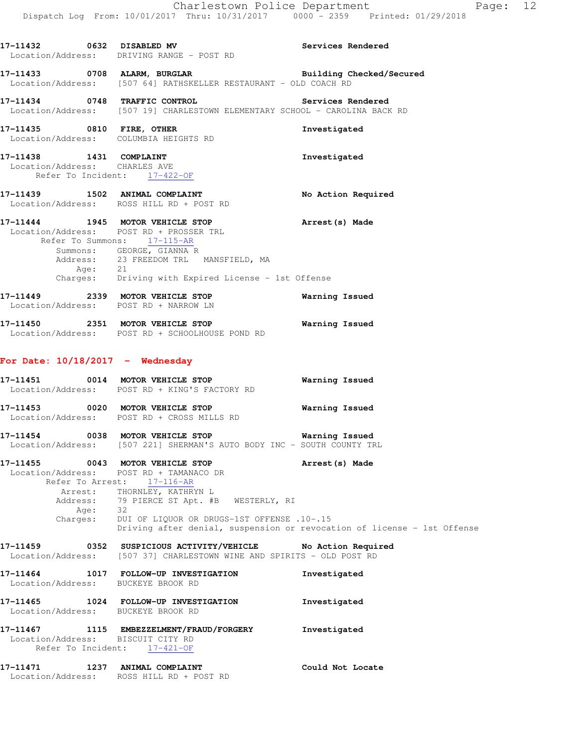| 17-11432 0632 DISABLED MV          | Services Rendered<br>Location/Address: DRIVING RANGE - POST RD                                                                                                                                                                                                                                                                    |                       |
|------------------------------------|-----------------------------------------------------------------------------------------------------------------------------------------------------------------------------------------------------------------------------------------------------------------------------------------------------------------------------------|-----------------------|
|                                    | 17-11433 0708 ALARM, BURGLAR Building Checked/Secured Location/Address: [507 64] RATHSKELLER RESTAURANT - OLD COACH RD                                                                                                                                                                                                            |                       |
|                                    | 17-11434 0748 TRAFFIC CONTROL Services Rendered<br>Location/Address: [507 19] CHARLESTOWN ELEMENTARY SCHOOL - CAROLINA BACK RD                                                                                                                                                                                                    |                       |
|                                    | 17-11435 0810 FIRE, OTHER<br>Location/Address: COLUMBIA HEIGHTS RD                                                                                                                                                                                                                                                                | Investigated          |
|                                    | 17-11438    1431    COMPLAINT<br>Location/Address: CHARLES AVE<br>Refer To Incident: 17-422-OF                                                                                                                                                                                                                                    | Investigated          |
|                                    | 17-11439 1502 ANIMAL COMPLAINT<br>Location/Address: ROSS HILL RD + POST RD                                                                                                                                                                                                                                                        | No Action Required    |
|                                    | 17-11444 1945 MOTOR VEHICLE STOP Arrest (s) Made<br>Location/Address: POST RD + PROSSER TRL<br>Refer To Summons: 17-115-AR<br>Summons: GEORGE, GIANNA R<br>Address: 23 FREEDOM TRL MANSFIELD, MA<br>Age: 21<br>Charges: Driving with Expired License - 1st Offense                                                                |                       |
|                                    | 17-11449 2339 MOTOR VEHICLE STOP 6 Warning Issued<br>Location/Address: POST RD + NARROW LN                                                                                                                                                                                                                                        |                       |
|                                    | Location/Address: POST RD + SCHOOLHOUSE POND RD                                                                                                                                                                                                                                                                                   |                       |
| For Date: $10/18/2017$ - Wednesday |                                                                                                                                                                                                                                                                                                                                   |                       |
|                                    | 17-11451 0014 MOTOR VEHICLE STOP<br>Location/Address: POST RD + KING'S FACTORY RD                                                                                                                                                                                                                                                 | <b>Warning Issued</b> |
|                                    | 17-11453 0020 MOTOR VEHICLE STOP<br>Location/Address: POST RD + CROSS MILLS RD                                                                                                                                                                                                                                                    | Warning Issued        |
|                                    | 17-11454 0038 MOTOR VEHICLE STOP Warning Issued<br>Location/Address: [507 221] SHERMAN'S AUTO BODY INC - SOUTH COUNTY TRL                                                                                                                                                                                                         |                       |
| Location/Address:                  | 17-11455 0043 MOTOR VEHICLE STOP Arrest (s) Made<br>POST RD + TAMANACO DR<br>Refer To Arrest: 17-116-AR<br>Arrest: THORNLEY, KATHRYN L<br>Address: 79 PIERCE ST Apt. #B WESTERLY, RI<br>Age: 32<br>Charges: DUI OF LIQUOR OR DRUGS-1ST OFFENSE .10-.15<br>Driving after denial, suspension or revocation of license - 1st Offense |                       |
| 17-11459                           | 0352 SUSPICIOUS ACTIVITY/VEHICLE No Action Required<br>Location/Address: [507 37] CHARLESTOWN WINE AND SPIRITS - OLD POST RD                                                                                                                                                                                                      |                       |
| $17 - 11464$                       | 1017 FOLLOW-UP INVESTIGATION<br>Location/Address: BUCKEYE BROOK RD                                                                                                                                                                                                                                                                | Investigated          |
| 17-11465                           | 1024 FOLLOW-UP INVESTIGATION<br>Location/Address: BUCKEYE BROOK RD                                                                                                                                                                                                                                                                | Investigated          |
| 17-11467                           | 1115 EMBEZZELMENT/FRAUD/FORGERY<br>Location/Address: BISCUIT CITY RD<br>Refer To Incident: 17-421-OF                                                                                                                                                                                                                              | Investigated          |
| 17-11471                           | 1237 ANIMAL COMPLAINT                                                                                                                                                                                                                                                                                                             | Could Not Locate      |

Location/Address: ROSS HILL RD + POST RD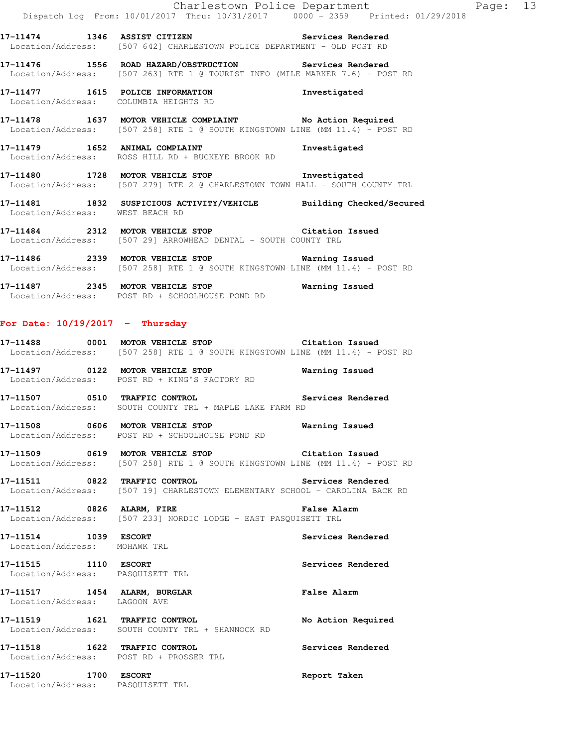**17-11474 1346 ASSIST CITIZEN Services Rendered**  Location/Address: [507 642] CHARLESTOWN POLICE DEPARTMENT - OLD POST RD

**17-11476 1556 ROAD HAZARD/OBSTRUCTION Services Rendered**  Location/Address: [507 263] RTE 1 @ TOURIST INFO (MILE MARKER 7.6) - POST RD

**17-11477 1615 POLICE INFORMATION Investigated**  Location/Address: COLUMBIA HEIGHTS RD

**17-11478 1637 MOTOR VEHICLE COMPLAINT No Action Required**  Location/Address: [507 258] RTE 1 @ SOUTH KINGSTOWN LINE (MM 11.4) - POST RD

**17-11479 1652 ANIMAL COMPLAINT Investigated**  Location/Address: ROSS HILL RD + BUCKEYE BROOK RD

**17-11480 1728 MOTOR VEHICLE STOP Investigated**  Location/Address: [507 279] RTE 2 @ CHARLESTOWN TOWN HALL - SOUTH COUNTY TRL

**17-11481 1832 SUSPICIOUS ACTIVITY/VEHICLE Building Checked/Secured**  Location/Address: WEST BEACH RD

**17-11484 2312 MOTOR VEHICLE STOP Citation Issued**  Location/Address: [507 29] ARROWHEAD DENTAL - SOUTH COUNTY TRL

**17-11486 2339 MOTOR VEHICLE STOP Warning Issued**  Location/Address: [507 258] RTE 1 @ SOUTH KINGSTOWN LINE (MM 11.4) - POST RD

**17-11487 2345 MOTOR VEHICLE STOP Warning Issued**  Location/Address: POST RD + SCHOOLHOUSE POND RD

#### **For Date: 10/19/2017 - Thursday**

**17-11488 0001 MOTOR VEHICLE STOP Citation Issued**  Location/Address: [507 258] RTE 1 @ SOUTH KINGSTOWN LINE (MM 11.4) - POST RD

**17-11497 0122 MOTOR VEHICLE STOP Warning Issued**  Location/Address: POST RD + KING'S FACTORY RD

**17-11507 0510 TRAFFIC CONTROL Services Rendered**  Location/Address: SOUTH COUNTY TRL + MAPLE LAKE FARM RD

**17-11508 0606 MOTOR VEHICLE STOP Warning Issued**  Location/Address: POST RD + SCHOOLHOUSE POND RD

**17-11509 0619 MOTOR VEHICLE STOP Citation Issued**  Location/Address: [507 258] RTE 1 @ SOUTH KINGSTOWN LINE (MM 11.4) - POST RD

**17-11511 0822 TRAFFIC CONTROL Services Rendered**  Location/Address: [507 19] CHARLESTOWN ELEMENTARY SCHOOL - CAROLINA BACK RD

**17-11512 0826 ALARM, FIRE False Alarm**  Location/Address: [507 233] NORDIC LODGE - EAST PASQUISETT TRL

**17-11514 1039 ESCORT Services Rendered**  Location/Address: MOHAWK TRL

**17-11515 1110 ESCORT Services Rendered**  Location/Address: PASQUISETT TRL

**17-11517 1454 ALARM, BURGLAR False Alarm**  Location/Address: LAGOON AVE

**17-11519 1621 TRAFFIC CONTROL No Action Required**  Location/Address: SOUTH COUNTY TRL + SHANNOCK RD

**17-11518 1622 TRAFFIC CONTROL Services Rendered**  Location/Address: POST RD + PROSSER TRL

**17-11520 1700 ESCORT Report Taken**  Location/Address: PASQUISETT TRL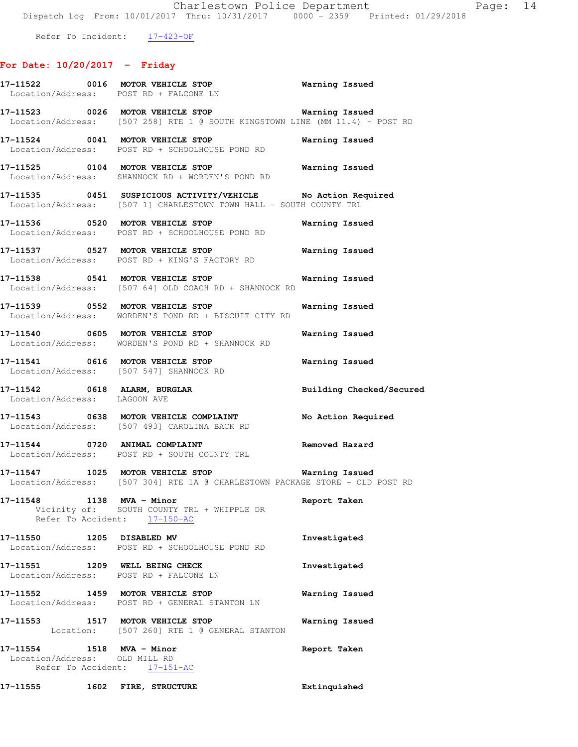Refer To Incident:  $17-423-OF$ 

# **For Date: 10/20/2017 - Friday**

|                                                            |      | 17-11522 0016 MOTOR VEHICLE STOP 6 Warning Issued<br>Location/Address: POST RD + FALCONE LN                                        |                |                          |
|------------------------------------------------------------|------|------------------------------------------------------------------------------------------------------------------------------------|----------------|--------------------------|
|                                                            |      | 17-11523 0026 MOTOR VEHICLE STOP 6 Warning Issued<br>Location/Address: [507 258] RTE 1 @ SOUTH KINGSTOWN LINE (MM 11.4) - POST RD  |                |                          |
|                                                            |      | 17-11524 0041 MOTOR VEHICLE STOP<br>Location/Address: POST RD + SCHOOLHOUSE POND RD                                                | Warning Issued |                          |
|                                                            |      | 17-11525 0104 MOTOR VEHICLE STOP<br>Location/Address: SHANNOCK RD + WORDEN'S POND RD                                               | Warning Issued |                          |
|                                                            |      | 17-11535 0451 SUSPICIOUS ACTIVITY/VEHICLE No Action Required<br>Location/Address: [507 1] CHARLESTOWN TOWN HALL - SOUTH COUNTY TRL |                |                          |
|                                                            |      | 17-11536 0520 MOTOR VEHICLE STOP<br>Location/Address: POST RD + SCHOOLHOUSE POND RD                                                | Warning Issued |                          |
|                                                            |      | 17-11537 0527 MOTOR VEHICLE STOP<br>Location/Address: POST RD + KING'S FACTORY RD                                                  | Warning Issued |                          |
|                                                            |      | 17-11538 0541 MOTOR VEHICLE STOP<br>Location/Address: [507 64] OLD COACH RD + SHANNOCK RD                                          | Warning Issued |                          |
|                                                            |      | 17-11539 0552 MOTOR VEHICLE STOP<br>Location/Address: WORDEN'S POND RD + BISCUIT CITY RD                                           | Warning Issued |                          |
|                                                            |      | 17-11540 0605 MOTOR VEHICLE STOP<br>Location/Address: WORDEN'S POND RD + SHANNOCK RD                                               | Warning Issued |                          |
|                                                            |      | 17-11541 0616 MOTOR VEHICLE STOP<br>Location/Address: [507 547] SHANNOCK RD                                                        | Warning Issued |                          |
| Location/Address: LAGOON AVE                               |      | 17-11542 0618 ALARM, BURGLAR                                                                                                       |                | Building Checked/Secured |
|                                                            |      | 17-11543 0638 MOTOR VEHICLE COMPLAINT No Action Required<br>Location/Address: [507 493] CAROLINA BACK RD                           |                |                          |
|                                                            |      | 17-11544 0720 ANIMAL COMPLAINT<br>Location/Address: POST RD + SOUTH COUNTY TRL                                                     | Removed Hazard |                          |
|                                                            |      | 17-11547 1025 MOTOR VEHICLE STOP<br>  Location/Address: [507 304] RTE 1A @ CHARLESTOWN PACKAGE STORE - OLD POST RD                 | Warning Issued |                          |
| 17-11548 1138                                              |      | MVA - Minor<br>Vicinity of: SOUTH COUNTY TRL + WHIPPLE DR<br>Refer To Accident: 17-150-AC                                          | Report Taken   |                          |
| 17-11550 1205 DISABLED MV                                  |      | Location/Address: POST RD + SCHOOLHOUSE POND RD                                                                                    | Investigated   |                          |
|                                                            |      | 17-11551 1209 WELL BEING CHECK<br>Location/Address: POST RD + FALCONE LN                                                           | Investigated   |                          |
|                                                            |      | 17-11552 1459 MOTOR VEHICLE STOP<br>Location/Address: POST RD + GENERAL STANTON LN                                                 | Warning Issued |                          |
|                                                            |      | 17-11553 1517 MOTOR VEHICLE STOP<br>Location: [507 260] RTE 1 @ GENERAL STANTON                                                    | Warning Issued |                          |
| 17-11554 1518 MVA - Minor<br>Location/Address: OLD MILL RD |      | Refer To Accident: 17-151-AC                                                                                                       | Report Taken   |                          |
| 17–11555                                                   | 1602 | FIRE, STRUCTURE                                                                                                                    | Extinquished   |                          |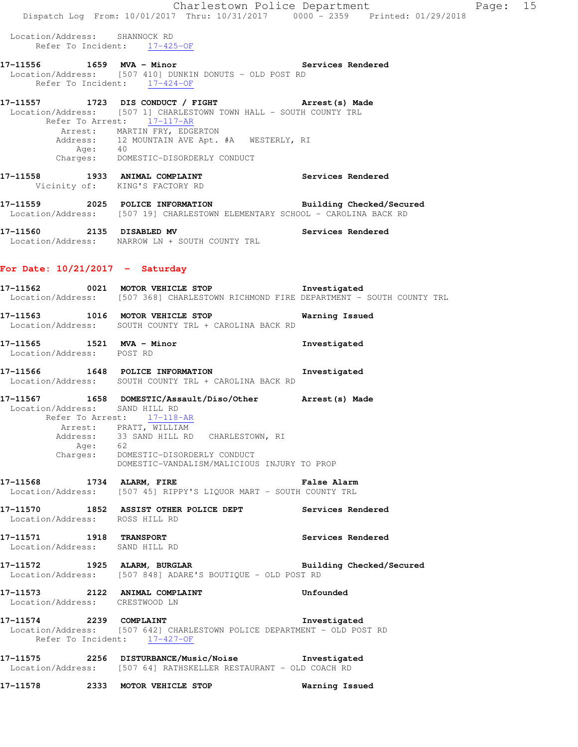|                                                           | Charlestown Police Department                                                                                                                                                                                   |                          |
|-----------------------------------------------------------|-----------------------------------------------------------------------------------------------------------------------------------------------------------------------------------------------------------------|--------------------------|
|                                                           | Dispatch Log From: 10/01/2017 Thru: 10/31/2017 0000 - 2359 Printed: 01/29/2018                                                                                                                                  |                          |
| Location/Address: SHANNOCK RD                             | Refer To Incident: 17-425-OF                                                                                                                                                                                    |                          |
|                                                           | 17-11556 1659 MVA - Minor 100 Services Rendered<br>Location/Address: [507 410] DUNKIN DONUTS - OLD POST RD<br>Refer To Incident: 17-424-OF                                                                      |                          |
|                                                           | 17-11557 1723 DIS CONDUCT / FIGHT Arrest (s) Made<br>Location/Address: [507 1] CHARLESTOWN TOWN HALL - SOUTH COUNTY TRL<br>Refer To Arrest: 17-117-AR<br>Arrest: MARTIN FRY, EDGERTON                           |                          |
|                                                           | Address: 12 MOUNTAIN AVE Apt. #A WESTERLY, RI<br>Age: 40<br>Charges: DOMESTIC-DISORDERLY CONDUCT                                                                                                                |                          |
|                                                           | 17-11558 1933 ANIMAL COMPLAINT<br>Vicinity of: KING'S FACTORY RD                                                                                                                                                | Services Rendered        |
|                                                           | 17-11559 2025 POLICE INFORMATION Building Checked/Secured<br>Location/Address: [507 19] CHARLESTOWN ELEMENTARY SCHOOL - CAROLINA BACK RD                                                                        |                          |
| 17-11560 2135 DISABLED MV                                 | Location/Address: NARROW LN + SOUTH COUNTY TRL                                                                                                                                                                  | Services Rendered        |
| For Date: $10/21/2017 -$ Saturday                         |                                                                                                                                                                                                                 |                          |
|                                                           | 17-11562 0021 MOTOR VEHICLE STOP 1nvestigated<br>Location/Address: [507 368] CHARLESTOWN RICHMOND FIRE DEPARTMENT - SOUTH COUNTY TRL                                                                            |                          |
|                                                           | 17-11563 1016 MOTOR VEHICLE STOP<br>Location/Address: SOUTH COUNTY TRL + CAROLINA BACK RD                                                                                                                       | Warning Issued           |
| 17-11565 1521 MVA - Minor<br>Location/Address: POST RD    |                                                                                                                                                                                                                 | Investigated             |
|                                                           | 17-11566 1648 POLICE INFORMATION<br>Location/Address: SOUTH COUNTY TRL + CAROLINA BACK RD                                                                                                                       | Investigated             |
| Location/Address: SAND HILL RD                            | 17-11567 1658 DOMESTIC/Assault/Diso/Other Arrest(s) Made<br>Refer To Arrest: 17-118-AR<br>Arrest: PRATT, WILLIAM<br>Address: 33 SAND HILL RD CHARLESTOWN, RI<br>Age: 62<br>Charges: DOMESTIC-DISORDERLY CONDUCT |                          |
| 17-11568 1734 ALARM, FIRE                                 | DOMESTIC-VANDALISM/MALICIOUS INJURY TO PROP<br><b>Example 21 Service School</b> False Alarm<br>Location/Address: [507 45] RIPPY'S LIQUOR MART - SOUTH COUNTY TRL                                                |                          |
| Location/Address: ROSS HILL RD                            | 17-11570 1852 ASSIST OTHER POLICE DEPT Services Rendered                                                                                                                                                        |                          |
| 17-11571 1918 TRANSPORT<br>Location/Address: SAND HILL RD |                                                                                                                                                                                                                 | Services Rendered        |
|                                                           | 17-11572 1925 ALARM, BURGLAR<br>Location/Address: [507 848] ADARE'S BOUTIQUE - OLD POST RD                                                                                                                      | Building Checked/Secured |
| Location/Address: CRESTWOOD LN                            | 17-11573 2122 ANIMAL COMPLAINT                                                                                                                                                                                  | Unfounded                |
| 17-11574 2239 COMPLAINT                                   | Location/Address: [507 642] CHARLESTOWN POLICE DEPARTMENT - OLD POST RD<br>Refer To Incident: 17-427-OF                                                                                                         | Investigated             |
|                                                           | 17-11575 2256 DISTURBANCE/Music/Noise Investigated<br>Location/Address: [507 64] RATHSKELLER RESTAURANT - OLD COACH RD                                                                                          |                          |

**17-11578 2333 MOTOR VEHICLE STOP Warning Issued** 

Page: 15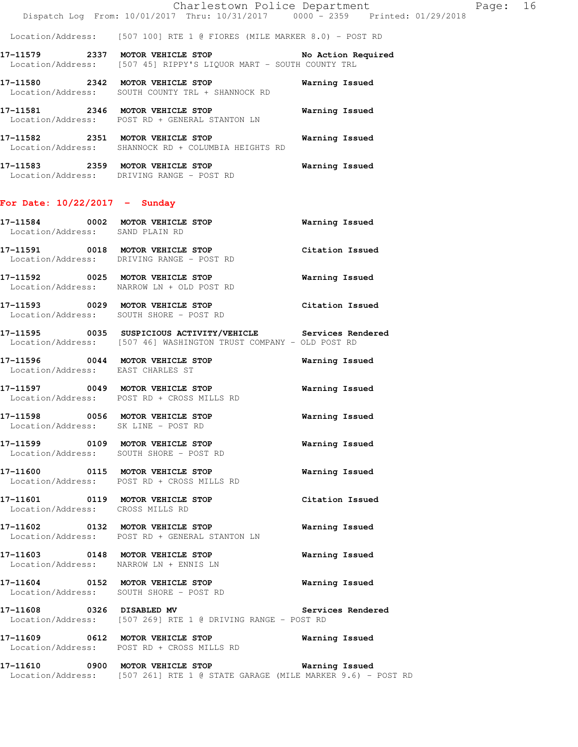Location/Address: [507 100] RTE 1 @ FIORES (MILE MARKER 8.0) - POST RD

**17-11579 2337 MOTOR VEHICLE STOP No Action Required**  Location/Address: [507 45] RIPPY'S LIQUOR MART - SOUTH COUNTY TRL

**17-11580 2342 MOTOR VEHICLE STOP Warning Issued**  Location/Address: SOUTH COUNTY TRL + SHANNOCK RD

**17-11581 2346 MOTOR VEHICLE STOP Warning Issued**  Location/Address: POST RD + GENERAL STANTON LN **17-11582 2351 MOTOR VEHICLE STOP Warning Issued**  Location/Address: SHANNOCK RD + COLUMBIA HEIGHTS RD

**17-11583 2359 MOTOR VEHICLE STOP Warning Issued**  Location/Address: DRIVING RANGE - POST RD

## **For Date: 10/22/2017 - Sunday**

| 17-11584 0002 MOTOR VEHICLE STOP<br>Location/Address: SAND PLAIN RD  |                                                                                                                                  | <b>Warning Issued</b> |
|----------------------------------------------------------------------|----------------------------------------------------------------------------------------------------------------------------------|-----------------------|
|                                                                      | 17-11591 0018 MOTOR VEHICLE STOP<br>Location/Address: DRIVING RANGE - POST RD                                                    | Citation Issued       |
|                                                                      | 17-11592 0025 MOTOR VEHICLE STOP<br>Location/Address: NARROW LN + OLD POST RD                                                    | Warning Issued        |
|                                                                      | 17-11593 0029 MOTOR VEHICLE STOP<br>Location/Address: SOUTH SHORE - POST RD                                                      | Citation Issued       |
|                                                                      | 17-11595 0035 SUSPICIOUS ACTIVITY/VEHICLE Services Rendered<br>Location/Address: [507 46] WASHINGTON TRUST COMPANY - OLD POST RD |                       |
| Location/Address: EAST CHARLES ST                                    | 17-11596 0044 MOTOR VEHICLE STOP                                                                                                 | Warning Issued        |
|                                                                      | 17-11597 0049 MOTOR VEHICLE STOP<br>Location/Address: POST RD + CROSS MILLS RD                                                   | Warning Issued        |
| 17-11598 0056 MOTOR VEHICLE STOP                                     | Location/Address: SK LINE - POST RD                                                                                              | Warning Issued        |
|                                                                      | 17-11599 0109 MOTOR VEHICLE STOP<br>Location/Address: SOUTH SHORE - POST RD                                                      | Warning Issued        |
|                                                                      | 17-11600 0115 MOTOR VEHICLE STOP<br>Location/Address: POST RD + CROSS MILLS RD                                                   | Warning Issued        |
| 17-11601 0119 MOTOR VEHICLE STOP<br>Location/Address: CROSS MILLS RD |                                                                                                                                  | Citation Issued       |
|                                                                      | 17-11602 0132 MOTOR VEHICLE STOP<br>Location/Address: POST RD + GENERAL STANTON LN                                               | Warning Issued        |
|                                                                      | 17-11603 0148 MOTOR VEHICLE STOP<br>Location/Address: NARROW LN + ENNIS LN                                                       | Warning Issued        |
|                                                                      | 17-11604 0152 MOTOR VEHICLE STOP<br>Location/Address: SOUTH SHORE - POST RD                                                      | <b>Warning Issued</b> |
| 17-11608 0326 DISABLED MV                                            |                                                                                                                                  | Services Rendered     |

Location/Address: [507 269] RTE 1 @ DRIVING RANGE - POST RD

**17-11609 0612 MOTOR VEHICLE STOP Warning Issued**  Location/Address: POST RD + CROSS MILLS RD

**17-11610 0900 MOTOR VEHICLE STOP Warning Issued**  Location/Address: [507 261] RTE 1 @ STATE GARAGE (MILE MARKER 9.6) - POST RD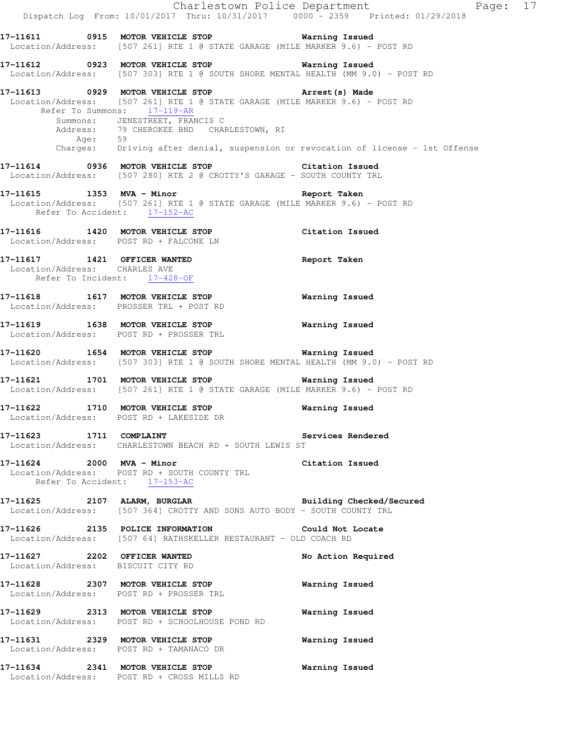|                                         | Dispatch Log From: 10/01/2017 Thru: 10/31/2017 0000 <sup>-</sup> 2359 Printed: 01/29/2018                                                                                                                                                                                                                                       | Charlestown Police Department<br>Page: 17 |
|-----------------------------------------|---------------------------------------------------------------------------------------------------------------------------------------------------------------------------------------------------------------------------------------------------------------------------------------------------------------------------------|-------------------------------------------|
|                                         | Location/Address: [507 261] RTE 1 @ STATE GARAGE (MILE MARKER 9.6) - POST RD                                                                                                                                                                                                                                                    |                                           |
|                                         | 17-11612 0923 MOTOR VEHICLE STOP 6 Warning Issued<br>Location/Address: [507 303] RTE 1 @ SOUTH SHORE MENTAL HEALTH (MM 9.0) - POST RD                                                                                                                                                                                           |                                           |
| Age: 59                                 | 17-11613 0929 MOTOR VEHICLE STOP 17-11613 Made<br>Location/Address: [507 261] RTE 1 @ STATE GARAGE (MILE MARKER 9.6) - POST RD<br>Refer To Summons: 17-119-AR<br>Summons: JENESTREET, FRANCIS C<br>Address: 79 CHEROKEE BND CHARLESTOWN, RI<br>Charges: Driving after denial, suspension or revocation of license - 1st Offense |                                           |
|                                         | 17-11614 0936 MOTOR VEHICLE STOP Citation Issued<br>Location/Address: [507 280] RTE 2 @ CROTTY'S GARAGE - SOUTH COUNTY TRL                                                                                                                                                                                                      |                                           |
| Refer To Accident: 17-152-AC            | 17-11615 1353 MVA - Minor 17-11615 Report Taken<br>Location/Address: [507 261] RTE 1 @ STATE GARAGE (MILE MARKER 9.6) - POST RD                                                                                                                                                                                                 |                                           |
| Location/Address: POST RD + FALCONE LN  | 17-11616 1420 MOTOR VEHICLE STOP                                                                                                                                                                                                                                                                                                | Citation Issued                           |
| Location/Address: CHARLES AVE           | 17-11617 1421 OFFICER WANTED<br>Refer To Incident: 17-428-OF                                                                                                                                                                                                                                                                    | Report Taken                              |
| Location/Address: PROSSER TRL + POST RD | 17-11618 1617 MOTOR VEHICLE STOP                                                                                                                                                                                                                                                                                                | <b>Warning Issued</b>                     |
|                                         | 17-11619 1638 MOTOR VEHICLE STOP 6 Warning Issued<br>Location/Address: POST RD + PROSSER TRL                                                                                                                                                                                                                                    |                                           |
|                                         | 17-11620 1654 MOTOR VEHICLE STOP <b>Warning Issued</b><br>Location/Address: [507 303] RTE 1 @ SOUTH SHORE MENTAL HEALTH (MM 9.0) - POST RD                                                                                                                                                                                      |                                           |
|                                         | 17-11621 1701 MOTOR VEHICLE STOP<br>Location/Address: [507 261] RTE 1 @ STATE GARAGE (MILE MARKER 9.6) - POST RD                                                                                                                                                                                                                | Warning Issued                            |
| Location/Address: POST RD + LAKESIDE DR | 17-11622 1710 MOTOR VEHICLE STOP                                                                                                                                                                                                                                                                                                | Warning Issued                            |
| 17-11623 1711 COMPLAINT                 | Location/Address: CHARLESTOWN BEACH RD + SOUTH LEWIS ST                                                                                                                                                                                                                                                                         | Services Rendered                         |
| Refer To Accident: 17-153-AC            | 17-11624 2000 MVA - Minor 2000 Citation Issued<br>Location/Address: POST RD + SOUTH COUNTY TRL                                                                                                                                                                                                                                  |                                           |
|                                         | 17-11625 2107 ALARM, BURGLAR BURGER Building Checked/Secured<br>Location/Address: [507 364] CROTTY AND SONS AUTO BODY - SOUTH COUNTY TRL                                                                                                                                                                                        |                                           |
|                                         | 17-11626 2135 POLICE INFORMATION Could Not Locate<br>Location/Address: [507 64] RATHSKELLER RESTAURANT - OLD COACH RD                                                                                                                                                                                                           |                                           |
| Location/Address: BISCUIT CITY RD       | 17-11627 2202 OFFICER WANTED                                                                                                                                                                                                                                                                                                    | No Action Required                        |
|                                         | 17-11628 2307 MOTOR VEHICLE STOP<br>Location/Address: POST RD + PROSSER TRL                                                                                                                                                                                                                                                     | <b>Warning Issued</b>                     |
|                                         | 17-11629 2313 MOTOR VEHICLE STOP<br>Location/Address: POST RD + SCHOOLHOUSE POND RD                                                                                                                                                                                                                                             | Warning Issued                            |
|                                         | 17-11631 2329 MOTOR VEHICLE STOP<br>Location/Address: POST RD + TAMANACO DR                                                                                                                                                                                                                                                     | <b>Warning Issued</b>                     |
|                                         | 17-11634 2341 MOTOR VEHICLE STOP<br>Location/Address: POST RD + CROSS MILLS RD                                                                                                                                                                                                                                                  | Warning Issued                            |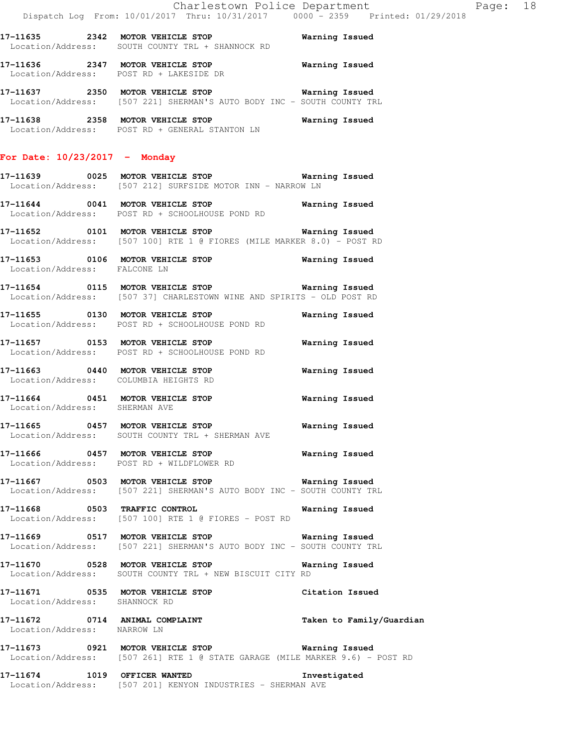**17-11635 2342 MOTOR VEHICLE STOP Warning Issued**  Location/Address: SOUTH COUNTY TRL + SHANNOCK RD

**17-11636 2347 MOTOR VEHICLE STOP Warning Issued**  Location/Address: POST RD + LAKESIDE DR

**17-11637 2350 MOTOR VEHICLE STOP Warning Issued**  Location/Address: [507 221] SHERMAN'S AUTO BODY INC - SOUTH COUNTY TRL

**17-11638 2358 MOTOR VEHICLE STOP Warning Issued**  Location/Address: POST RD + GENERAL STANTON LN

## **For Date: 10/23/2017 - Monday**

**17-11639 0025 MOTOR VEHICLE STOP Warning Issued**  Location/Address: [507 212] SURFSIDE MOTOR INN - NARROW LN

**17-11644 0041 MOTOR VEHICLE STOP Warning Issued**  Location/Address: POST RD + SCHOOLHOUSE POND RD

**17-11652 0101 MOTOR VEHICLE STOP Warning Issued**  Location/Address: [507 100] RTE 1 @ FIORES (MILE MARKER 8.0) - POST RD

**17-11653 0106 MOTOR VEHICLE STOP Warning Issued**  Location/Address: FALCONE LN

**17-11654 0115 MOTOR VEHICLE STOP Warning Issued**  Location/Address: [507 37] CHARLESTOWN WINE AND SPIRITS - OLD POST RD

**17-11655 0130 MOTOR VEHICLE STOP Warning Issued**  Location/Address: POST RD + SCHOOLHOUSE POND RD

**17-11657 0153 MOTOR VEHICLE STOP Warning Issued**  Location/Address: POST RD + SCHOOLHOUSE POND RD

**17-11663 0440 MOTOR VEHICLE STOP Warning Issued**  Location/Address: COLUMBIA HEIGHTS RD

**17-11664 0451 MOTOR VEHICLE STOP Warning Issued**  Location/Address: SHERMAN AVE

**17-11665 0457 MOTOR VEHICLE STOP Warning Issued**  Location/Address: SOUTH COUNTY TRL + SHERMAN AVE

**17-11666 0457 MOTOR VEHICLE STOP Warning Issued**  Location/Address: POST RD + WILDFLOWER RD

**17-11667 0503 MOTOR VEHICLE STOP Warning Issued**  Location/Address: [507 221] SHERMAN'S AUTO BODY INC - SOUTH COUNTY TRL

**17-11668 0503 TRAFFIC CONTROL Warning Issued**  Location/Address: [507 100] RTE 1 @ FIORES - POST RD

**17-11669 0517 MOTOR VEHICLE STOP Warning Issued**  Location/Address: [507 221] SHERMAN'S AUTO BODY INC - SOUTH COUNTY TRL

**17-11670 0528 MOTOR VEHICLE STOP Warning Issued**  Location/Address: SOUTH COUNTY TRL + NEW BISCUIT CITY RD

**17-11671 0535 MOTOR VEHICLE STOP Citation Issued**  Location/Address: SHANNOCK RD

**17-11672 0714 ANIMAL COMPLAINT Taken to Family/Guardian**  Location/Address: NARROW LN

**17-11673 0921 MOTOR VEHICLE STOP Warning Issued**  Location/Address: [507 261] RTE 1 @ STATE GARAGE (MILE MARKER 9.6) - POST RD

**17-11674 1019 OFFICER WANTED Investigated**  Location/Address: [507 201] KENYON INDUSTRIES - SHERMAN AVE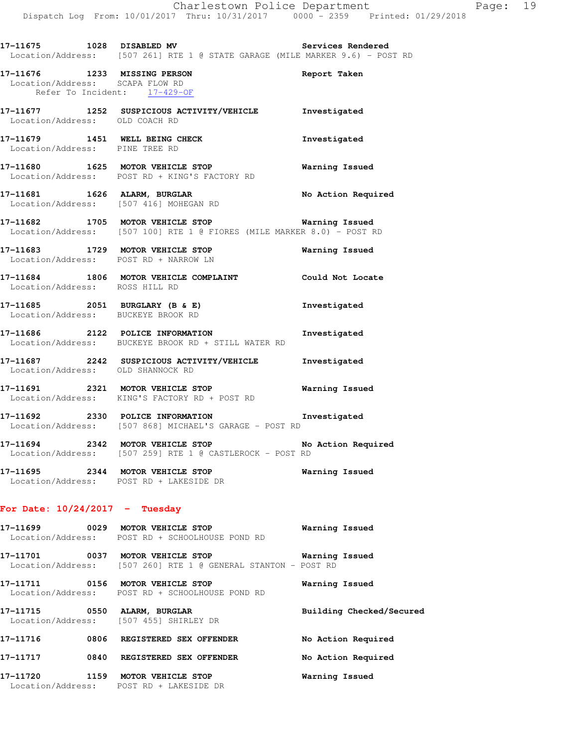| 17–11675          | 1028 DISABLED MV |  |  |                                                            | Services Rendered |  |  |
|-------------------|------------------|--|--|------------------------------------------------------------|-------------------|--|--|
| Location/Address: |                  |  |  | [507 261] RTE 1 @ STATE GARAGE (MILE MARKER 9.6) - POST RD |                   |  |  |

**17-11676 1233 MISSING PERSON Report Taken**  Location/Address: SCAPA FLOW RD Refer To Incident: 17-429-OF

- **17-11677 1252 SUSPICIOUS ACTIVITY/VEHICLE Investigated**  Location/Address: OLD COACH RD
- **17-11679 1451 WELL BEING CHECK Investigated**  Location/Address: PINE TREE RD
- **17-11680 1625 MOTOR VEHICLE STOP Warning Issued**  Location/Address: POST RD + KING'S FACTORY RD
- 17-11681 1626 ALARM, BURGLAR 17-11681 No Action Required Location/Address: [507 416] MOHEGAN RD
- **17-11682 1705 MOTOR VEHICLE STOP Warning Issued**  Location/Address: [507 100] RTE 1 @ FIORES (MILE MARKER 8.0) - POST RD
- **17-11683 1729 MOTOR VEHICLE STOP Warning Issued**  Location/Address: POST RD + NARROW LN
- **17-11684 1806 MOTOR VEHICLE COMPLAINT Could Not Locate**  Location/Address: ROSS HILL RD
- **17-11685 2051 BURGLARY (B & E) Investigated**  Location/Address: BUCKEYE BROOK RD
- **17-11686 2122 POLICE INFORMATION Investigated**  Location/Address: BUCKEYE BROOK RD + STILL WATER RD
- **17-11687 2242 SUSPICIOUS ACTIVITY/VEHICLE Investigated**  Location/Address: OLD SHANNOCK RD
- **17-11691 2321 MOTOR VEHICLE STOP Warning Issued**  Location/Address: KING'S FACTORY RD + POST RD
- **17-11692 2330 POLICE INFORMATION Investigated**  Location/Address: [507 868] MICHAEL'S GARAGE - POST RD
- **17-11694 2342 MOTOR VEHICLE STOP No Action Required**  Location/Address: [507 259] RTE 1 @ CASTLEROCK - POST RD
- **17-11695 2344 MOTOR VEHICLE STOP Warning Issued**  Location/Address: POST RD + LAKESIDE DR

### **For Date: 10/24/2017 - Tuesday**

- **17-11699 0029 MOTOR VEHICLE STOP Warning Issued**  Location/Address: POST RD + SCHOOLHOUSE POND RD
- **17-11701 0037 MOTOR VEHICLE STOP Warning Issued**  Location/Address: [507 260] RTE 1 @ GENERAL STANTON - POST RD
- **17-11711 0156 MOTOR VEHICLE STOP Warning Issued**  Location/Address: POST RD + SCHOOLHOUSE POND RD
- **17-11715 0550 ALARM, BURGLAR Building Checked/Secured**  Location/Address: [507 455] SHIRLEY DR **17-11716 0806 REGISTERED SEX OFFENDER No Action Required**
- **17-11717 0840 REGISTERED SEX OFFENDER No Action Required**
- **17-11720 1159 MOTOR VEHICLE STOP Warning Issued**  Location/Address: POST RD + LAKESIDE DR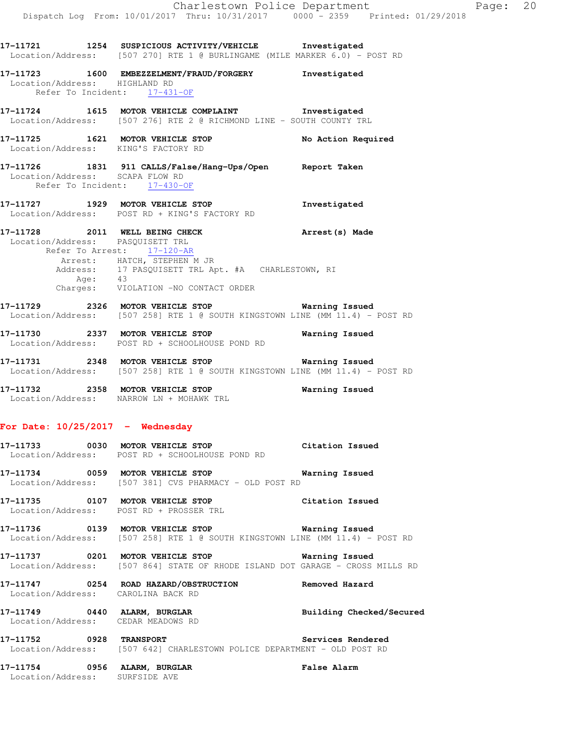**17-11721 1254 SUSPICIOUS ACTIVITY/VEHICLE Investigated** 

Location/Address: [507 270] RTE 1 @ BURLINGAME (MILE MARKER 6.0) - POST RD

**17-11723 1600 EMBEZZELMENT/FRAUD/FORGERY Investigated**  Location/Address: HIGHLAND RD Refer To Incident: 17-431-OF **17-11724 1615 MOTOR VEHICLE COMPLAINT Investigated**  Location/Address: [507 276] RTE 2 @ RICHMOND LINE - SOUTH COUNTY TRL **17-11725 1621 MOTOR VEHICLE STOP No Action Required**  Location/Address: KING'S FACTORY RD **17-11726 1831 911 CALLS/False/Hang-Ups/Open Report Taken**  Location/Address: SCAPA FLOW RD Refer To Incident: 17-430-OF **17-11727 1929 MOTOR VEHICLE STOP Investigated**  Location/Address: POST RD + KING'S FACTORY RD **17-11728 2011 WELL BEING CHECK Arrest(s) Made**  Location/Address: PASQUISETT TRL Refer To Arrest: 17-120-AR Arrest: HATCH, STEPHEN M JR Address: 17 PASQUISETT TRL Apt. #A CHARLESTOWN, RI Age: 43 Charges: VIOLATION -NO CONTACT ORDER **17-11729 2326 MOTOR VEHICLE STOP Warning Issued**  Location/Address: [507 258] RTE 1 @ SOUTH KINGSTOWN LINE (MM 11.4) - POST RD **17-11730 2337 MOTOR VEHICLE STOP Warning Issued**  Location/Address: POST RD + SCHOOLHOUSE POND RD **17-11731 2348 MOTOR VEHICLE STOP Warning Issued**  Location/Address: [507 258] RTE 1 @ SOUTH KINGSTOWN LINE (MM 11.4) - POST RD **17-11732 2358 MOTOR VEHICLE STOP Warning Issued**  Location/Address: NARROW LN + MOHAWK TRL **For Date: 10/25/2017 - Wednesday 17-11733 0030 MOTOR VEHICLE STOP Citation Issued**  Location/Address: POST RD + SCHOOLHOUSE POND RD **17-11734 0059 MOTOR VEHICLE STOP Warning Issued**  Location/Address: [507 381] CVS PHARMACY - OLD POST RD **17-11735 0107 MOTOR VEHICLE STOP Citation Issued**  Location/Address: POST RD + PROSSER TRL **17-11736 0139 MOTOR VEHICLE STOP Warning Issued**  Location/Address: [507 258] RTE 1 @ SOUTH KINGSTOWN LINE (MM 11.4) - POST RD **17-11737 0201 MOTOR VEHICLE STOP Warning Issued**  Location/Address: [507 864] STATE OF RHODE ISLAND DOT GARAGE - CROSS MILLS RD **17-11747 0254 ROAD HAZARD/OBSTRUCTION Removed Hazard**  Location/Address: CAROLINA BACK RD **17-11749 0440 ALARM, BURGLAR Building Checked/Secured**  Location/Address: CEDAR MEADOWS RD **17-11752 0928 TRANSPORT Services Rendered**  Location/Address: [507 642] CHARLESTOWN POLICE DEPARTMENT - OLD POST RD **17-11754 0956 ALARM, BURGLAR False Alarm**  Location/Address: SURFSIDE AVE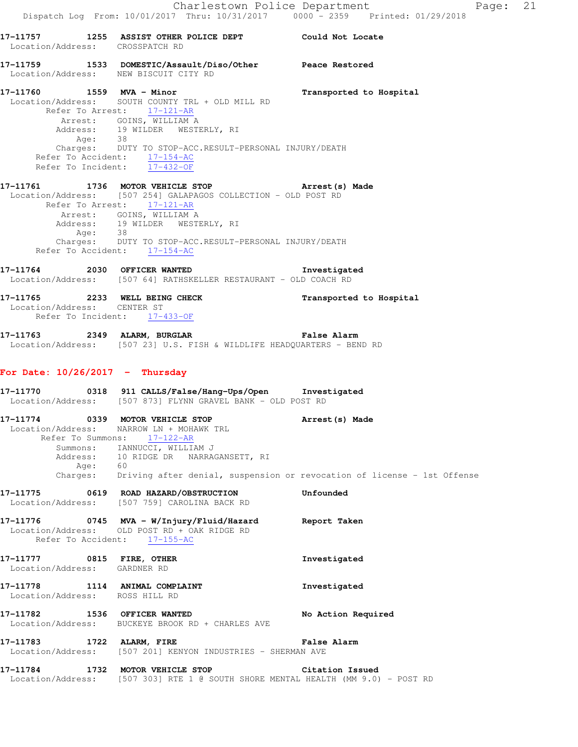# **17-11759 1533 DOMESTIC/Assault/Diso/Other Peace Restored**  Location/Address: NEW BISCUIT CITY RD

Location/Address: CROSSPATCH RD

**17-11760 1559 MVA - Minor Transported to Hospital**  Location/Address: SOUTH COUNTY TRL + OLD MILL RD Refer To Arrest: 17-121-AR Arrest: GOINS, WILLIAM A Address: 19 WILDER WESTERLY, RI Age: 38 Charges: DUTY TO STOP-ACC.RESULT-PERSONAL INJURY/DEATH Refer To Accident: 17-154-AC Refer To Incident: 17-432-OF

## **17-11761 1736 MOTOR VEHICLE STOP Arrest(s) Made**  Location/Address: [507 254] GALAPAGOS COLLECTION - OLD POST RD Refer To Arrest:  $\frac{17-121-AR}{2}$  Arrest: GOINS, WILLIAM A Address: 19 WILDER WESTERLY, RI Age: 38 Charges: DUTY TO STOP-ACC.RESULT-PERSONAL INJURY/DEATH Refer To Accident: 17-154-AC

**17-11764 2030 OFFICER WANTED Investigated**  Location/Address: [507 64] RATHSKELLER RESTAURANT - OLD COACH RD

**17-11765 2233 WELL BEING CHECK Transported to Hospital**  Location/Address: CENTER ST Refer To Incident: 17-433-OF

**17-11763 2349 ALARM, BURGLAR False Alarm**  Location/Address: [507 23] U.S. FISH & WILDLIFE HEADQUARTERS - BEND RD

# **For Date: 10/26/2017 - Thursday**

**17-11770 0318 911 CALLS/False/Hang-Ups/Open Investigated**  Location/Address: [507 873] FLYNN GRAVEL BANK - OLD POST RD

**17-11774 0339 MOTOR VEHICLE STOP Arrest(s) Made**  Location/Address: NARROW LN + MOHAWK TRL Refer To Summons: 17-122-AR Summons: IANNUCCI, WILLIAM J Address: 10 RIDGE DR NARRAGANSETT, RI Age: 60 Charges: Driving after denial, suspension or revocation of license - 1st Offense

- **17-11775 0619 ROAD HAZARD/OBSTRUCTION Unfounded**  Location/Address: [507 759] CAROLINA BACK RD
- **17-11776 0745 MVA W/Injury/Fluid/Hazard Report Taken**  Location/Address: OLD POST RD + OAK RIDGE RD Refer To Accident: 17-155-AC
- **17-11777 0815 FIRE, OTHER Investigated**  Location/Address: GARDNER RD
- **17-11778 1114 ANIMAL COMPLAINT Investigated**  Location/Address: ROSS HILL RD
- **17-11782 1536 OFFICER WANTED No Action Required**  Location/Address: BUCKEYE BROOK RD + CHARLES AVE
- **17-11783 1722 ALARM, FIRE False Alarm**  Location/Address: [507 201] KENYON INDUSTRIES - SHERMAN AVE
- **17-11784 1732 MOTOR VEHICLE STOP Citation Issued**  Location/Address: [507 303] RTE 1 @ SOUTH SHORE MENTAL HEALTH (MM 9.0) - POST RD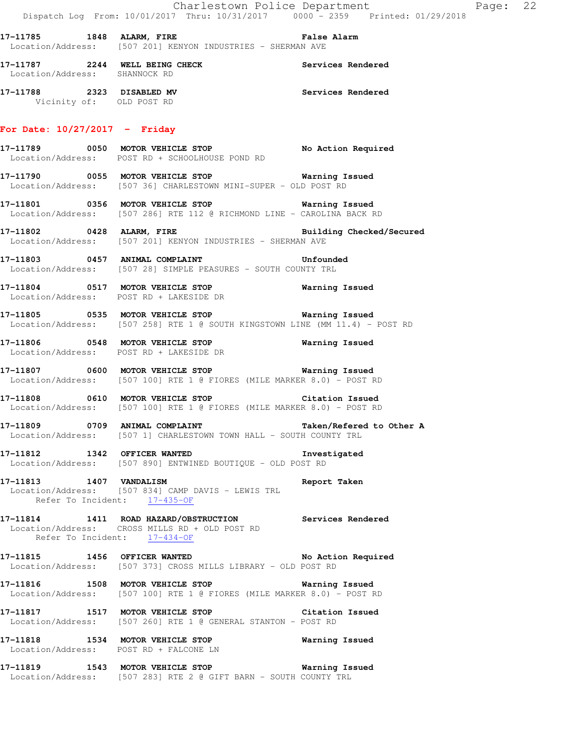**17-11785 1848 ALARM, FIRE False Alarm**  Location/Address: [507 201] KENYON INDUSTRIES - SHERMAN AVE

**17-11787 2244 WELL BEING CHECK Services Rendered**  Location/Address: SHANNOCK RD

**17-11788 2323 DISABLED MV Services Rendered**  Vicinity of: OLD POST RD

#### **For Date: 10/27/2017 - Friday**

**17-11789 0050 MOTOR VEHICLE STOP No Action Required**  Location/Address: POST RD + SCHOOLHOUSE POND RD

**17-11790 0055 MOTOR VEHICLE STOP Warning Issued**  Location/Address: [507 36] CHARLESTOWN MINI-SUPER - OLD POST RD

**17-11801 0356 MOTOR VEHICLE STOP Warning Issued**  Location/Address: [507 286] RTE 112 @ RICHMOND LINE - CAROLINA BACK RD

**17-11802 0428 ALARM, FIRE Building Checked/Secured**  Location/Address: [507 201] KENYON INDUSTRIES - SHERMAN AVE

**17-11803 0457 ANIMAL COMPLAINT Unfounded**  Location/Address: [507 28] SIMPLE PEASURES - SOUTH COUNTY TRL

**17-11804 0517 MOTOR VEHICLE STOP Warning Issued**  Location/Address: POST RD + LAKESIDE DR

**17-11805 0535 MOTOR VEHICLE STOP Warning Issued**  Location/Address: [507 258] RTE 1 @ SOUTH KINGSTOWN LINE (MM 11.4) - POST RD

**17-11806 0548 MOTOR VEHICLE STOP Warning Issued**  Location/Address: POST RD + LAKESIDE DR

**17-11807 0600 MOTOR VEHICLE STOP Warning Issued**  Location/Address: [507 100] RTE 1 @ FIORES (MILE MARKER 8.0) - POST RD

**17-11808 0610 MOTOR VEHICLE STOP Citation Issued**  Location/Address: [507 100] RTE 1 @ FIORES (MILE MARKER 8.0) - POST RD

**17-11809 0709 ANIMAL COMPLAINT Taken/Refered to Other A**  Location/Address: [507 1] CHARLESTOWN TOWN HALL - SOUTH COUNTY TRL

**17-11812 1342 OFFICER WANTED Investigated**  Location/Address: [507 890] ENTWINED BOUTIQUE - OLD POST RD

**17-11813 1407 VANDALISM Report Taken**  Location/Address: [507 834] CAMP DAVIS - LEWIS TRL Refer To Incident: 17-435-OF

**17-11814 1411 ROAD HAZARD/OBSTRUCTION Services Rendered**  Location/Address: CROSS MILLS RD + OLD POST RD Refer To Incident: 17-434-OF

**17-11815 1456 OFFICER WANTED No Action Required**  Location/Address: [507 373] CROSS MILLS LIBRARY - OLD POST RD

**17-11816 1508 MOTOR VEHICLE STOP Warning Issued**  Location/Address: [507 100] RTE 1 @ FIORES (MILE MARKER 8.0) - POST RD

**17-11817 1517 MOTOR VEHICLE STOP Citation Issued**  Location/Address: [507 260] RTE 1 @ GENERAL STANTON - POST RD

**17-11818 1534 MOTOR VEHICLE STOP Warning Issued**  Location/Address: POST RD + FALCONE LN

**17-11819 1543 MOTOR VEHICLE STOP Warning Issued**  Location/Address: [507 283] RTE 2 @ GIFT BARN - SOUTH COUNTY TRL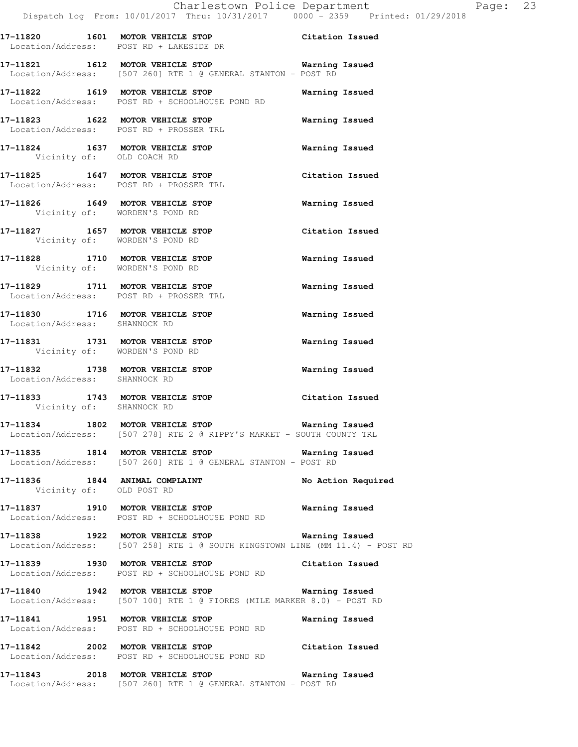- **17-11820 1601 MOTOR VEHICLE STOP Citation Issued**
- Location/Address: POST RD + LAKESIDE DR **17-11821 1612 MOTOR VEHICLE STOP Warning Issued**  Location/Address: [507 260] RTE 1 @ GENERAL STANTON - POST RD
- **17-11822 1619 MOTOR VEHICLE STOP Warning Issued**  Location/Address: POST RD + SCHOOLHOUSE POND RD
- **17-11823 1622 MOTOR VEHICLE STOP Warning Issued**  Location/Address: POST RD + PROSSER TRL **17-11824 1637 MOTOR VEHICLE STOP Warning Issued**
- Vicinity of: OLD COACH RD **17-11825 1647 MOTOR VEHICLE STOP Citation Issued**
- Location/Address: POST RD + PROSSER TRL **17-11826 1649 MOTOR VEHICLE STOP Warning Issued**  Vicinity of: WORDEN'S POND RD
- **17-11827 1657 MOTOR VEHICLE STOP Citation Issued**  Vicinity of: WORDEN'S POND RD
- **17-11828 1710 MOTOR VEHICLE STOP Warning Issued**  Vicinity of: WORDEN'S POND RD
- **17-11829 1711 MOTOR VEHICLE STOP Warning Issued**  Location/Address: POST RD + PROSSER TRL
- **17-11830 1716 MOTOR VEHICLE STOP Warning Issued**  Location/Address: SHANNOCK RD
- **17-11831 1731 MOTOR VEHICLE STOP Warning Issued**  Vicinity of: WORDEN'S POND RD
- **17-11832 1738 MOTOR VEHICLE STOP Warning Issued**  Location/Address: SHANNOCK RD
- **17-11833 1743 MOTOR VEHICLE STOP Citation Issued**  Vicinity of: SHANNOCK RD
- **17-11834 1802 MOTOR VEHICLE STOP Warning Issued**  Location/Address: [507 278] RTE 2 @ RIPPY'S MARKET - SOUTH COUNTY TRL
- **17-11835 1814 MOTOR VEHICLE STOP Warning Issued**  Location/Address: [507 260] RTE 1 @ GENERAL STANTON - POST RD
- **17-11836 1844 ANIMAL COMPLAINT No Action Required**  Vicinity of: OLD POST RD
- **17-11837 1910 MOTOR VEHICLE STOP Warning Issued**  Location/Address: POST RD + SCHOOLHOUSE POND RD
- **17-11838 1922 MOTOR VEHICLE STOP Warning Issued**  Location/Address: [507 258] RTE 1 @ SOUTH KINGSTOWN LINE (MM 11.4) - POST RD
- **17-11839 1930 MOTOR VEHICLE STOP Citation Issued**  Location/Address: POST RD + SCHOOLHOUSE POND RD
- **17-11840 1942 MOTOR VEHICLE STOP Warning Issued**  Location/Address: [507 100] RTE 1 @ FIORES (MILE MARKER 8.0) - POST RD
- **17-11841 1951 MOTOR VEHICLE STOP Warning Issued**  Location/Address: POST RD + SCHOOLHOUSE POND RD
- **17-11842 2002 MOTOR VEHICLE STOP Citation Issued**  Location/Address: POST RD + SCHOOLHOUSE POND RD
- **17-11843 2018 MOTOR VEHICLE STOP Warning Issued**  Location/Address: [507 260] RTE 1 @ GENERAL STANTON - POST RD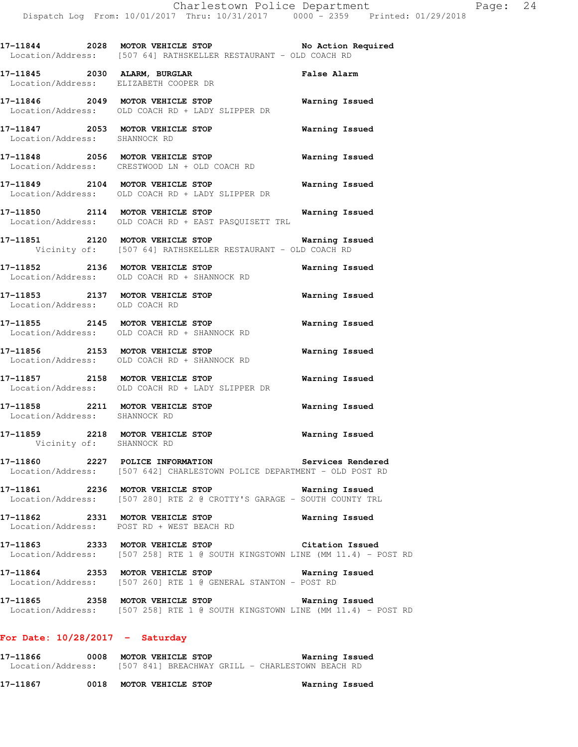| 17-11844<br>2028<br>Location/Address: | MOTOR VEHICLE STOP<br>[507 64] RATHSKELLER RESTAURANT – OLD COACH RD | No Action Required |
|---------------------------------------|----------------------------------------------------------------------|--------------------|
| 17–11845<br>2030<br>Location/Address: | ALARM, BURGLAR<br>ELIZABETH COOPER DR                                | <b>False Alarm</b> |
| 17-11846<br>2049<br>Location/Address: | MOTOR VEHICLE STOP<br>OLD COACH RD + LADY SLIPPER DR                 | Warning Issued     |
| 17-11847<br>2053<br>Location/Address: | MOTOR VEHICLE STOP<br>SHANNOCK RD                                    | Warning Issued     |

**17-11848 2056 MOTOR VEHICLE STOP Warning Issued**  Location/Address: CRESTWOOD LN + OLD COACH RD

**17-11849 2104 MOTOR VEHICLE STOP Warning Issued**  Location/Address: OLD COACH RD + LADY SLIPPER DR

**17-11850 2114 MOTOR VEHICLE STOP Warning Issued**  Location/Address: OLD COACH RD + EAST PASQUISETT TRL

**17-11851 2120 MOTOR VEHICLE STOP Warning Issued**  Vicinity of: [507 64] RATHSKELLER RESTAURANT - OLD COACH RD

**17-11852 2136 MOTOR VEHICLE STOP Warning Issued**  Location/Address: OLD COACH RD + SHANNOCK RD

**17-11853 2137 MOTOR VEHICLE STOP Warning Issued**  Location/Address: OLD COACH RD

**17-11855 2145 MOTOR VEHICLE STOP Warning Issued**  Location/Address: OLD COACH RD + SHANNOCK RD

**17-11856 2153 MOTOR VEHICLE STOP Warning Issued**  Location/Address: OLD COACH RD + SHANNOCK RD

**17-11857 2158 MOTOR VEHICLE STOP Warning Issued**  Location/Address: OLD COACH RD + LADY SLIPPER DR

**17-11858 2211 MOTOR VEHICLE STOP Warning Issued**  Location/Address: SHANNOCK RD

**17-11859 2218 MOTOR VEHICLE STOP Warning Issued**  Vicinity of: SHANNOCK RD

**17-11860 2227 POLICE INFORMATION Services Rendered**  Location/Address: [507 642] CHARLESTOWN POLICE DEPARTMENT - OLD POST RD

**17-11861 2236 MOTOR VEHICLE STOP Warning Issued**  Location/Address: [507 280] RTE 2 @ CROTTY'S GARAGE - SOUTH COUNTY TRL

**17-11862 2331 MOTOR VEHICLE STOP Warning Issued**  Location/Address: POST RD + WEST BEACH RD

**17-11863 2333 MOTOR VEHICLE STOP Citation Issued**  Location/Address: [507 258] RTE 1 @ SOUTH KINGSTOWN LINE (MM 11.4) - POST RD

**17-11864 2353 MOTOR VEHICLE STOP Warning Issued**  Location/Address: [507 260] RTE 1 @ GENERAL STANTON - POST RD

**17-11865 2358 MOTOR VEHICLE STOP Warning Issued**  Location/Address: [507 258] RTE 1 @ SOUTH KINGSTOWN LINE (MM 11.4) - POST RD

### **For Date: 10/28/2017 - Saturday**

**17-11866 0008 MOTOR VEHICLE STOP Warning Issued**  Location/Address: [507 841] BREACHWAY GRILL - CHARLESTOWN BEACH RD

**17-11867 0018 MOTOR VEHICLE STOP Warning Issued**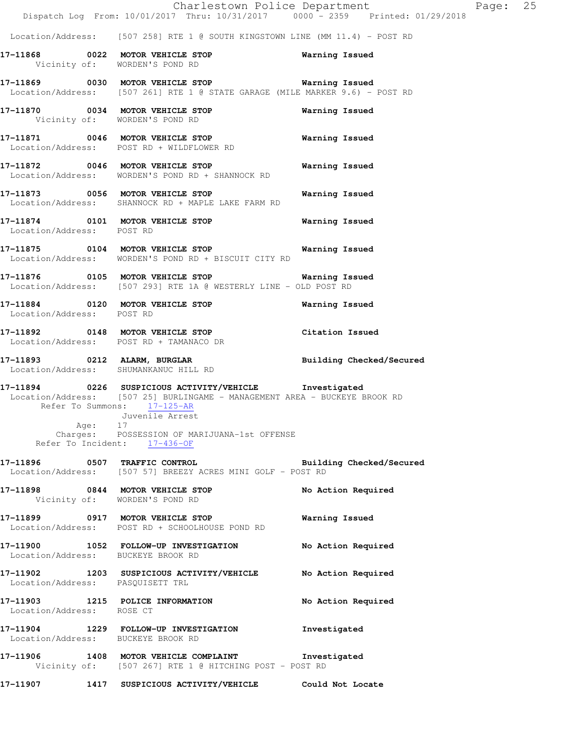Location/Address: [507 258] RTE 1 @ SOUTH KINGSTOWN LINE (MM 11.4) - POST RD

**17-11868 0022 MOTOR VEHICLE STOP Warning Issued**  Vicinity of: WORDEN'S POND RD

**17-11869 0030 MOTOR VEHICLE STOP Warning Issued**  Location/Address: [507 261] RTE 1 @ STATE GARAGE (MILE MARKER 9.6) - POST RD

**17-11870 0034 MOTOR VEHICLE STOP Warning Issued**  Vicinity of: WORDEN'S POND RD

**17-11871 0046 MOTOR VEHICLE STOP Warning Issued**  Location/Address: POST RD + WILDFLOWER RD

**17-11872 0046 MOTOR VEHICLE STOP Warning Issued**  Location/Address: WORDEN'S POND RD + SHANNOCK RD

**17-11873 0056 MOTOR VEHICLE STOP Warning Issued**  Location/Address: SHANNOCK RD + MAPLE LAKE FARM RD

**17-11874 0101 MOTOR VEHICLE STOP Warning Issued**  Location/Address: POST RD

**17-11875 0104 MOTOR VEHICLE STOP Warning Issued**  Location/Address: WORDEN'S POND RD + BISCUIT CITY RD

**17-11876 0105 MOTOR VEHICLE STOP Warning Issued**  Location/Address: [507 293] RTE 1A @ WESTERLY LINE - OLD POST RD

**17-11884 0120 MOTOR VEHICLE STOP Warning Issued**  Location/Address: POST RD

**17-11892 0148 MOTOR VEHICLE STOP Citation Issued**  Location/Address: POST RD + TAMANACO DR

**17-11893 0212 ALARM, BURGLAR Building Checked/Secured**  Location/Address: SHUMANKANUC HILL RD

**17-11894 0226 SUSPICIOUS ACTIVITY/VEHICLE Investigated**  Location/Address: [507 25] BURLINGAME - MANAGEMENT AREA - BUCKEYE BROOK RD Refer To Summons: 17-125-AR Juvenile Arrest Age: 17 Charges: POSSESSION OF MARIJUANA-1st OFFENSE Refer To Incident: 17-436-OF

**17-11896 0507 TRAFFIC CONTROL Building Checked/Secured**  Location/Address: [507 57] BREEZY ACRES MINI GOLF - POST RD

**17-11898 0844 MOTOR VEHICLE STOP No Action Required**  Vicinity of: WORDEN'S POND RD

**17-11899 0917 MOTOR VEHICLE STOP Warning Issued**  Location/Address: POST RD + SCHOOLHOUSE POND RD

**17-11900 1052 FOLLOW-UP INVESTIGATION No Action Required**  Location/Address: BUCKEYE BROOK RD

**17-11902 1203 SUSPICIOUS ACTIVITY/VEHICLE No Action Required**  Location/Address: PASQUISETT TRL

**17-11903 1215 POLICE INFORMATION No Action Required**  Location/Address: ROSE CT

**17-11904 1229 FOLLOW-UP INVESTIGATION Investigated**  Location/Address: BUCKEYE BROOK RD

**17-11906 1408 MOTOR VEHICLE COMPLAINT Investigated**  Vicinity of: [507 267] RTE 1 @ HITCHING POST - POST RD

**17-11907 1417 SUSPICIOUS ACTIVITY/VEHICLE Could Not Locate**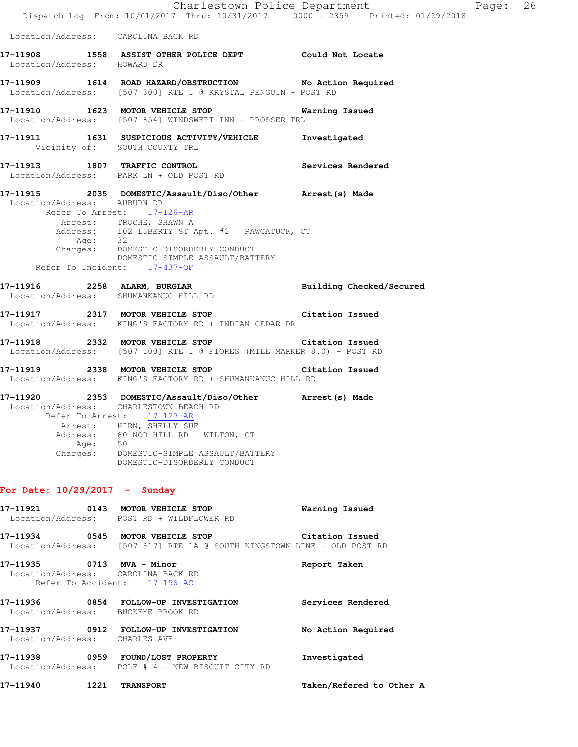|                                 |                                                                                                                                                                                                    | Charlestown Police Department<br>Dispatch Log From: 10/01/2017 Thru: 10/31/2017 0000 - 2359 Printed: 01/29/2018 | Page: 26 |  |
|---------------------------------|----------------------------------------------------------------------------------------------------------------------------------------------------------------------------------------------------|-----------------------------------------------------------------------------------------------------------------|----------|--|
|                                 | Location/Address: CAROLINA BACK RD                                                                                                                                                                 |                                                                                                                 |          |  |
| Location/Address: HOWARD DR     | 17-11908 1558 ASSIST OTHER POLICE DEPT Could Not Locate                                                                                                                                            |                                                                                                                 |          |  |
|                                 | 17-11909 1614 ROAD HAZARD/OBSTRUCTION No Action Required<br>Location/Address: [507 300] RTE 1 @ KRYSTAL PENGUIN - POST RD                                                                          |                                                                                                                 |          |  |
|                                 | 17-11910 1623 MOTOR VEHICLE STOP 6 Warning Issued<br>Location/Address: [507 854] WINDSWEPT INN - PROSSER TRL                                                                                       |                                                                                                                 |          |  |
|                                 | 17-11911 1631 SUSPICIOUS ACTIVITY/VEHICLE Investigated<br>Vicinity of: SOUTH COUNTY TRL                                                                                                            |                                                                                                                 |          |  |
|                                 | 17-11913 1807 TRAFFIC CONTROL<br>Location/Address: PARK LN + OLD POST RD                                                                                                                           | Services Rendered                                                                                               |          |  |
| Location/Address: AUBURN DR     | 17-11915 2035 DOMESTIC/Assault/Diso/Other Arrest(s) Made<br>Refer To Arrest: 17-126-AR                                                                                                             |                                                                                                                 |          |  |
|                                 | Arrest: TROCHE, SHAWN A                                                                                                                                                                            |                                                                                                                 |          |  |
| Age: 32                         | Address: 102 LIBERTY ST Apt. #2 PAWCATUCK, CT                                                                                                                                                      |                                                                                                                 |          |  |
|                                 | Charges: DOMESTIC-DISORDERLY CONDUCT<br>DOMESTIC-SIMPLE ASSAULT/BATTERY<br>Refer To Incident: 17-437-OF                                                                                            |                                                                                                                 |          |  |
|                                 | 17-11916 2258 ALARM, BURGLAR<br>Location/Address: SHUMANKANUC HILL RD                                                                                                                              | Building Checked/Secured                                                                                        |          |  |
|                                 | 17-11917 2317 MOTOR VEHICLE STOP Citation Issued<br>Location/Address: KING'S FACTORY RD + INDIAN CEDAR DR                                                                                          |                                                                                                                 |          |  |
|                                 | 17-11918 2332 MOTOR VEHICLE STOP Citation Issued<br>Location/Address: [507 100] RTE 1 @ FIORES (MILE MARKER 8.0) - POST RD                                                                         |                                                                                                                 |          |  |
|                                 | 17-11919 2338 MOTOR VEHICLE STOP Citation Issued<br>Location/Address: KING'S FACTORY RD + SHUMANKANUC HILL RD                                                                                      |                                                                                                                 |          |  |
|                                 | 17-11920 2353 DOMESTIC/Assault/Diso/Other Arrest(s) Made<br>Location/Address: CHARLESTOWN BEACH RD<br>Refer To Arrest: 17-127-AR<br>Arrest: HIRN, SHELLY SUE<br>Address: 60 NOD HILL RD WILTON, CT |                                                                                                                 |          |  |
|                                 | Age: 50<br>Charges: DOMESTIC-SIMPLE ASSAULT/BATTERY<br>DOMESTIC-DISORDERLY CONDUCT                                                                                                                 |                                                                                                                 |          |  |
| For Date: $10/29/2017$ - Sunday |                                                                                                                                                                                                    |                                                                                                                 |          |  |
|                                 | 17-11921 0143 MOTOR VEHICLE STOP<br>Location/Address: POST RD + WILDFLOWER RD                                                                                                                      | Warning Issued                                                                                                  |          |  |
|                                 | 17-11934 0545 MOTOR VEHICLE STOP Citation Issued<br>Location/Address: [507 317] RTE 1A @ SOUTH KINGSTOWN LINE - OLD POST RD                                                                        |                                                                                                                 |          |  |
| 17-11935 0713 MVA - Minor       | Location/Address: CAROLINA BACK RD<br>Refer To Accident: 17-156-AC                                                                                                                                 | Report Taken                                                                                                    |          |  |
|                                 | 17-11936 0854 FOLLOW-UP INVESTIGATION<br>Location/Address: BUCKEYE BROOK RD                                                                                                                        | Services Rendered                                                                                               |          |  |
| Location/Address: CHARLES AVE   | 17-11937 0912 FOLLOW-UP INVESTIGATION                                                                                                                                                              | No Action Required                                                                                              |          |  |
|                                 | 17-11938 0959 FOUND/LOST PROPERTY<br>Location/Address: POLE # 4 - NEW BISCUIT CITY RD                                                                                                              | Investigated                                                                                                    |          |  |
| 17-11940                        | <b>1221 TRANSPORT</b>                                                                                                                                                                              | Taken/Refered to Other A                                                                                        |          |  |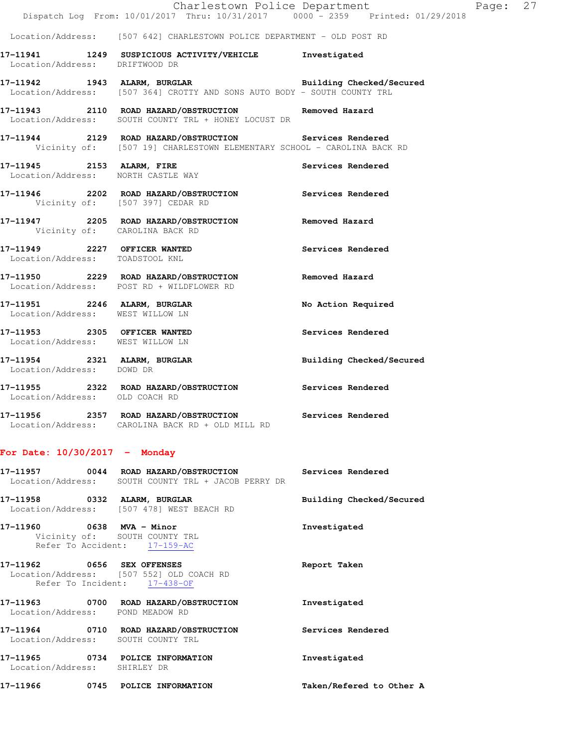|                                                                  | Charlestown Police Department                                                                                                                             | Page: 27                 |  |
|------------------------------------------------------------------|-----------------------------------------------------------------------------------------------------------------------------------------------------------|--------------------------|--|
|                                                                  | Dispatch Log From: 10/01/2017 Thru: 10/31/2017 0000 - 2359 Printed: 01/29/2018<br>Location/Address: [507 642] CHARLESTOWN POLICE DEPARTMENT - OLD POST RD |                          |  |
|                                                                  |                                                                                                                                                           |                          |  |
|                                                                  | 17-11941 1249 SUSPICIOUS ACTIVITY/VEHICLE Investigated<br>Location/Address: DRIFTWOOD DR                                                                  |                          |  |
|                                                                  | 17-11942 1943 ALARM, BURGLAR 1998 Building Checked/Secured<br>Location/Address: [507 364] CROTTY AND SONS AUTO BODY - SOUTH COUNTY TRL                    |                          |  |
|                                                                  | 17-11943 2110 ROAD HAZARD/OBSTRUCTION<br>Location/Address: SOUTH COUNTY TRL + HONEY LOCUST DR                                                             | Removed Hazard           |  |
|                                                                  | 17-11944 2129 ROAD HAZARD/OBSTRUCTION Services Rendered<br>Vicinity of: [507 19] CHARLESTOWN ELEMENTARY SCHOOL - CAROLINA BACK RD                         |                          |  |
| 17-11945 2153 ALARM, FIRE<br>Location/Address: NORTH CASTLE WAY  |                                                                                                                                                           | Services Rendered        |  |
| Vicinity of: [507 397] CEDAR RD                                  | 17-11946 2202 ROAD HAZARD/OBSTRUCTION Services Rendered                                                                                                   |                          |  |
| Vicinity of: CAROLINA BACK RD                                    | 17-11947 2205 ROAD HAZARD/OBSTRUCTION Removed Hazard                                                                                                      |                          |  |
| 17-11949 2227 OFFICER WANTED<br>Location/Address: TOADSTOOL KNL  |                                                                                                                                                           | Services Rendered        |  |
|                                                                  | 17-11950 2229 ROAD HAZARD/OBSTRUCTION Removed Hazard<br>Location/Address: POST RD + WILDFLOWER RD                                                         |                          |  |
| Location/Address: WEST WILLOW LN                                 | 17-11951 2246 ALARM, BURGLAR                                                                                                                              | No Action Required       |  |
| 17-11953 2305 OFFICER WANTED<br>Location/Address: WEST WILLOW LN |                                                                                                                                                           | Services Rendered        |  |
| Location/Address: DOWD DR                                        | 17-11954 2321 ALARM, BURGLAR                                                                                                                              | Building Checked/Secured |  |
| Location/Address: OLD COACH RD                                   | 17-11955 2322 ROAD HAZARD/OBSTRUCTION Services Rendered                                                                                                   |                          |  |
|                                                                  | 17-11956 2357 ROAD HAZARD/OBSTRUCTION Services Rendered<br>Location/Address: CAROLINA BACK RD + OLD MILL RD                                               |                          |  |

# **For Date: 10/30/2017 - Monday**

|                                                                  | 17-11957 0044 ROAD HAZARD/OBSTRUCTION Services Rendered<br>Location/Address: SOUTH COUNTY TRL + JACOB PERRY DR |                          |
|------------------------------------------------------------------|----------------------------------------------------------------------------------------------------------------|--------------------------|
| 17-11958 0332 ALARM, BURGLAR                                     | Location/Address: [507 478] WEST BEACH RD                                                                      | Building Checked/Secured |
| 17-11960 0638 MVA - Minor                                        | Vicinity of: SOUTH COUNTY TRL<br>Refer To Accident: 17-159-AC                                                  | Investigated             |
| 17-11962 0656 SEX OFFENSES                                       | Location/Address: [507 552] OLD COACH RD<br>Refer To Incident: 17-438-OF                                       | Report Taken             |
| Location/Address: POND MEADOW RD                                 |                                                                                                                | Investigated             |
| Location/Address: SOUTH COUNTY TRL                               | 17-11964 0710 ROAD HAZARD/OBSTRUCTION                                                                          | <b>Services Rendered</b> |
| 17-11965 0734 POLICE INFORMATION<br>Location/Address: SHIRLEY DR |                                                                                                                | Investigated             |
| 17-11966 - 17-11                                                 | 0745 POLICE INFORMATION                                                                                        | Taken/Refered to Other A |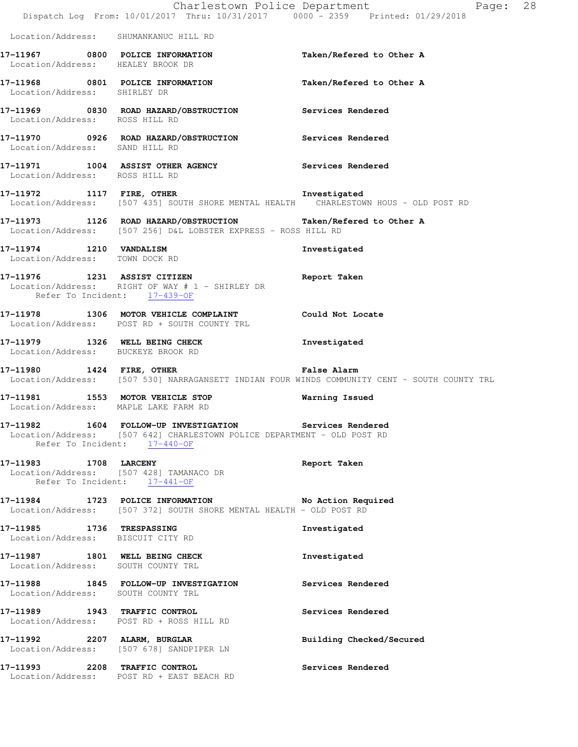|                                                                         | Dispatch Log From: 10/01/2017 Thru: 10/31/2017 0000 - 2359 Printed: 01/29/2018                                                                                                                         | Charlestown Police Department<br>Page: 28                                                                   |  |
|-------------------------------------------------------------------------|--------------------------------------------------------------------------------------------------------------------------------------------------------------------------------------------------------|-------------------------------------------------------------------------------------------------------------|--|
| Location/Address: SHUMANKANUC HILL RD                                   |                                                                                                                                                                                                        |                                                                                                             |  |
| Location/Address: HEALEY BROOK DR                                       | 17-11967 0800 POLICE INFORMATION                                                                                                                                                                       | Taken/Refered to Other A                                                                                    |  |
| Location/Address: SHIRLEY DR                                            | 17-11968 0801 POLICE INFORMATION                                                                                                                                                                       | Taken/Refered to Other A                                                                                    |  |
| Location/Address: ROSS HILL RD                                          | 17-11969 0830 ROAD HAZARD/OBSTRUCTION Services Rendered                                                                                                                                                |                                                                                                             |  |
| Location/Address: SAND HILL RD                                          | 17-11970 0926 ROAD HAZARD/OBSTRUCTION Services Rendered                                                                                                                                                |                                                                                                             |  |
| Location/Address: ROSS HILL RD                                          | 17-11971 1004 ASSIST OTHER AGENCY Services Rendered                                                                                                                                                    |                                                                                                             |  |
|                                                                         | 17-11972 1117 FIRE, OTHER 110RE TREE AND THE TREE TRISTAL TRIST TRISTAL TRISTAL TRISTAL INCOLLECTION TO THE TO<br>Location/Address: [507 435] SOUTH SHORE MENTAL HEALTH CHARLESTOWN HOUS - OLD POST RD |                                                                                                             |  |
|                                                                         | 17-11973 1126 ROAD HAZARD/OBSTRUCTION Taken/Refered to Other A<br>Location/Address: [507 256] D&L LOBSTER EXPRESS - ROSS HILL RD                                                                       |                                                                                                             |  |
| 17-11974 1210 VANDALISM<br>Location/Address: TOWN DOCK RD               |                                                                                                                                                                                                        | Investigated                                                                                                |  |
| Refer To Incident: 17-439-OF                                            | 17-11976 1231 ASSIST CITIZEN<br>Location/Address: RIGHT OF WAY # 1 - SHIRLEY DR                                                                                                                        | Report Taken                                                                                                |  |
|                                                                         | 17-11978 1306 MOTOR VEHICLE COMPLAINT Could Not Locate<br>Location/Address: POST RD + SOUTH COUNTY TRL                                                                                                 |                                                                                                             |  |
| Location/Address: BUCKEYE BROOK RD                                      | 17-11979 1326 WELL BEING CHECK                                                                                                                                                                         | Investigated                                                                                                |  |
|                                                                         | 17-11980 1424 FIRE, OTHER                                                                                                                                                                              | False Alarm<br>Location/Address: [507 530] NARRAGANSETT INDIAN FOUR WINDS COMMUNITY CENT - SOUTH COUNTY TRL |  |
| Location/Address: MAPLE LAKE FARM RD                                    | 17-11981 1553 MOTOR VEHICLE STOP                                                                                                                                                                       | <b>Warning Issued</b>                                                                                       |  |
| Refer To Incident: 17-440-OF                                            | 17-11982 1604 FOLLOW-UP INVESTIGATION Services Rendered<br>Location/Address: [507 642] CHARLESTOWN POLICE DEPARTMENT - OLD POST RD                                                                     |                                                                                                             |  |
| Location/Address: [507 428] TAMANACO DR<br>Refer To Incident: 17-441-OF | 17-11983 1708 LARCENY                                                                                                                                                                                  | Report Taken                                                                                                |  |
|                                                                         | 17-11984 1723 POLICE INFORMATION No Action Required<br>Location/Address: [507 372] SOUTH SHORE MENTAL HEALTH - OLD POST RD                                                                             |                                                                                                             |  |
| 17-11985 1736 TRESPASSING<br>Location/Address: BISCUIT CITY RD          |                                                                                                                                                                                                        | Investigated                                                                                                |  |
| 17-11987 1801 WELL BEING CHECK<br>Location/Address: SOUTH COUNTY TRL    |                                                                                                                                                                                                        | Investigated                                                                                                |  |
| Location/Address: SOUTH COUNTY TRL                                      | 17-11988 1845 FOLLOW-UP INVESTIGATION                                                                                                                                                                  | Services Rendered                                                                                           |  |
| 17-11989 1943 TRAFFIC CONTROL                                           | Location/Address: POST RD + ROSS HILL RD                                                                                                                                                               | Services Rendered                                                                                           |  |
|                                                                         | 17-11992 2207 ALARM, BURGLAR<br>Location/Address: [507 678] SANDPIPER LN                                                                                                                               | Building Checked/Secured                                                                                    |  |
| 17-11993 2208 TRAFFIC CONTROL                                           | Location/Address: POST RD + EAST BEACH RD                                                                                                                                                              | Services Rendered                                                                                           |  |